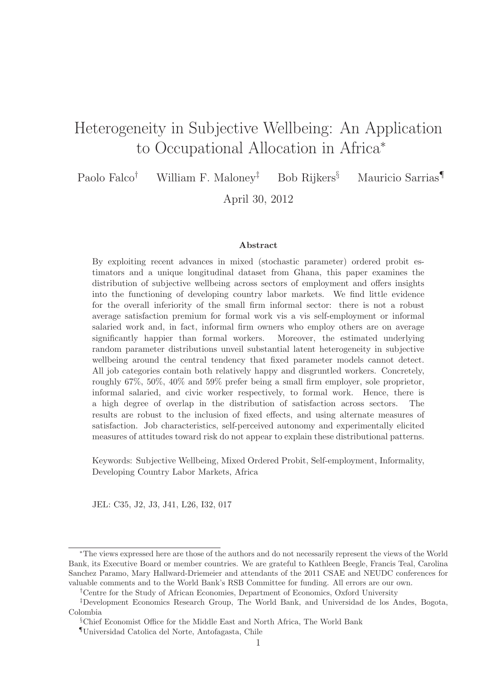# Heterogeneity in Subjective Wellbeing: An Application to Occupational Allocation in Africa<sup>∗</sup>

Paolo Falco† William F. Maloney‡ Bob Rijkers§ Mauricio Sarrias¶

April 30, 2012

#### Abstract

By exploiting recent advances in mixed (stochastic parameter) ordered probit estimators and a unique longitudinal dataset from Ghana, this paper examines the distribution of subjective wellbeing across sectors of employment and offers insights into the functioning of developing country labor markets. We find little evidence for the overall inferiority of the small firm informal sector: there is not a robust average satisfaction premium for formal work vis a vis self-employment or informal salaried work and, in fact, informal firm owners who employ others are on average significantly happier than formal workers. Moreover, the estimated underlying random parameter distributions unveil substantial latent heterogeneity in subjective wellbeing around the central tendency that fixed parameter models cannot detect. All job categories contain both relatively happy and disgruntled workers. Concretely, roughly 67%, 50%, 40% and 59% prefer being a small firm employer, sole proprietor, informal salaried, and civic worker respectively, to formal work. Hence, there is a high degree of overlap in the distribution of satisfaction across sectors. The results are robust to the inclusion of fixed effects, and using alternate measures of satisfaction. Job characteristics, self-perceived autonomy and experimentally elicited measures of attitudes toward risk do not appear to explain these distributional patterns.

Keywords: Subjective Wellbeing, Mixed Ordered Probit, Self-employment, Informality, Developing Country Labor Markets, Africa

JEL: C35, J2, J3, J41, L26, I32, 017

<sup>∗</sup>The views expressed here are those of the authors and do not necessarily represent the views of the World Bank, its Executive Board or member countries. We are grateful to Kathleen Beegle, Francis Teal, Carolina Sanchez Paramo, Mary Hallward-Driemeier and attendants of the 2011 CSAE and NEUDC conferences for valuable comments and to the World Bank's RSB Committee for funding. All errors are our own.

<sup>†</sup>Centre for the Study of African Economies, Department of Economics, Oxford University

<sup>‡</sup>Development Economics Research Group, The World Bank, and Universidad de los Andes, Bogota, Colombia

<sup>§</sup>Chief Economist Office for the Middle East and North Africa, The World Bank

<sup>¶</sup>Universidad Catolica del Norte, Antofagasta, Chile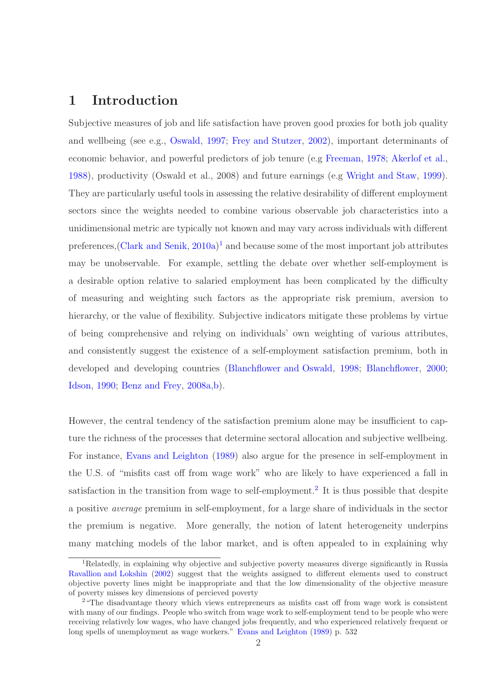## 1 Introduction

Subjective measures of job and life satisfaction have proven good proxies for both job quality and wellbeing (see e.g., [Oswald](#page-33-0), [1997;](#page-33-0) [Frey and Stutzer](#page-32-0), [2002](#page-32-0)), important determinants of economic behavior, and powerful predictors of job tenure (e.g [Freeman](#page-32-1), [1978;](#page-32-1) [Akerlof et al.](#page-30-0), [1988](#page-30-0)), productivity (Oswald et al., 2008) and future earnings (e.g [Wright and Staw](#page-34-0), [1999](#page-34-0)). They are particularly useful tools in assessing the relative desirability of different employment sectors since the weights needed to combine various observable job characteristics into a unidimensional metric are typically not known and may vary across individuals with different preferences, [\(Clark and Senik,](#page-31-0) [2010a](#page-31-0))<sup>1</sup> and because some of the most important job attributes may be unobservable. For example, settling the debate over whether self-employment is a desirable option relative to salaried employment has been complicated by the difficulty of measuring and weighting such factors as the appropriate risk premium, aversion to hierarchy, or the value of flexibility. Subjective indicators mitigate these problems by virtue of being comprehensive and relying on individuals' own weighting of various attributes, and consistently suggest the existence of a self-employment satisfaction premium, both in developed and developing countries [\(Blanchflower and Oswald](#page-30-1), [1998;](#page-30-1) [Blanchflower](#page-30-2), [2000](#page-30-2); [Idson,](#page-32-2) [1990](#page-32-2); [Benz and Frey,](#page-30-3) [2008a](#page-30-3)[,b](#page-30-4)).

However, the central tendency of the satisfaction premium alone may be insufficient to capture the richness of the processes that determine sectoral allocation and subjective wellbeing. For instance, [Evans and Leighton](#page-31-1) [\(1989\)](#page-31-1) also argue for the presence in self-employment in the U.S. of "misfits cast off from wage work" who are likely to have experienced a fall in satisfaction in the transition from wage to self-employment.<sup>2</sup> It is thus possible that despite a positive *average* premium in self-employment, for a large share of individuals in the sector the premium is negative. More generally, the notion of latent heterogeneity underpins many matching models of the labor market, and is often appealed to in explaining why

<sup>1</sup>Relatedly, in explaining why objective and subjective poverty measures diverge significantly in Russia [Ravallion and Lokshin](#page-33-1) [\(2002](#page-33-1)) suggest that the weights assigned to different elements used to construct objective poverty lines might be inappropriate and that the low dimensionality of the objective measure of poverty misses key dimensions of percieved poverty

<sup>&</sup>lt;sup>2</sup> "The disadvantage theory which views entrepreneurs as misfits cast off from wage work is consistent with many of our findings. People who switch from wage work to self-employment tend to be people who were receiving relatively low wages, who have changed jobs frequently, and who experienced relatively frequent or long spells of unemployment as wage workers." [Evans and Leighton](#page-31-1) [\(1989](#page-31-1)) p. 532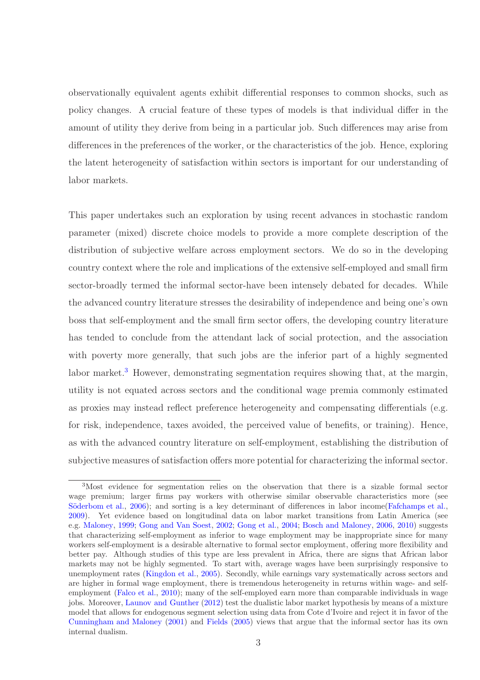observationally equivalent agents exhibit differential responses to common shocks, such as policy changes. A crucial feature of these types of models is that individual differ in the amount of utility they derive from being in a particular job. Such differences may arise from differences in the preferences of the worker, or the characteristics of the job. Hence, exploring the latent heterogeneity of satisfaction within sectors is important for our understanding of labor markets.

This paper undertakes such an exploration by using recent advances in stochastic random parameter (mixed) discrete choice models to provide a more complete description of the distribution of subjective welfare across employment sectors. We do so in the developing country context where the role and implications of the extensive self-employed and small firm sector-broadly termed the informal sector-have been intensely debated for decades. While the advanced country literature stresses the desirability of independence and being one's own boss that self-employment and the small firm sector offers, the developing country literature has tended to conclude from the attendant lack of social protection, and the association with poverty more generally, that such jobs are the inferior part of a highly segmented labor market.<sup>3</sup> However, demonstrating segmentation requires showing that, at the margin, utility is not equated across sectors and the conditional wage premia commonly estimated as proxies may instead reflect preference heterogeneity and compensating differentials (e.g. for risk, independence, taxes avoided, the perceived value of benefits, or training). Hence, as with the advanced country literature on self-employment, establishing the distribution of subjective measures of satisfaction offers more potential for characterizing the informal sector.

<sup>3</sup>Most evidence for segmentation relies on the observation that there is a sizable formal sector wage premium; larger firms pay workers with otherwise similar observable characteristics more (see Söderbom et al., [2006](#page-34-1)); and sorting is a key determinant of differences in labor income [\(Fafchamps et al.,](#page-31-2) [2009\)](#page-31-2). Yet evidence based on longitudinal data on labor market transitions from Latin America (see e.g. [Maloney](#page-33-2), [1999](#page-33-2); [Gong and Van Soest](#page-32-3), [2002](#page-32-3); [Gong et al.,](#page-32-4) [2004;](#page-32-4) [Bosch and Maloney](#page-30-5), [2006](#page-30-5), [2010](#page-30-6)) suggests that characterizing self-employment as inferior to wage employment may be inappropriate since for many workers self-employment is a desirable alternative to formal sector employment, offering more flexibility and better pay. Although studies of this type are less prevalent in Africa, there are signs that African labor markets may not be highly segmented. To start with, average wages have been surprisingly responsive to unemployment rates [\(Kingdon et al.](#page-33-3), [2005](#page-33-3)). Secondly, while earnings vary systematically across sectors and are higher in formal wage employment, there is tremendous heterogeneity in returns within wage- and selfemployment [\(Falco et al.](#page-31-3), [2010\)](#page-31-3); many of the self-employed earn more than comparable individuals in wage jobs. Moreover, [Launov and Gunther](#page-33-4) [\(2012](#page-33-4)) test the dualistic labor market hypothesis by means of a mixture model that allows for endogenous segment selection using data from Cote d'Ivoire and reject it in favor of the [Cunningham and Maloney](#page-31-4) [\(2001](#page-31-4)) and [Fields](#page-32-5) [\(2005\)](#page-32-5) views that argue that the informal sector has its own internal dualism.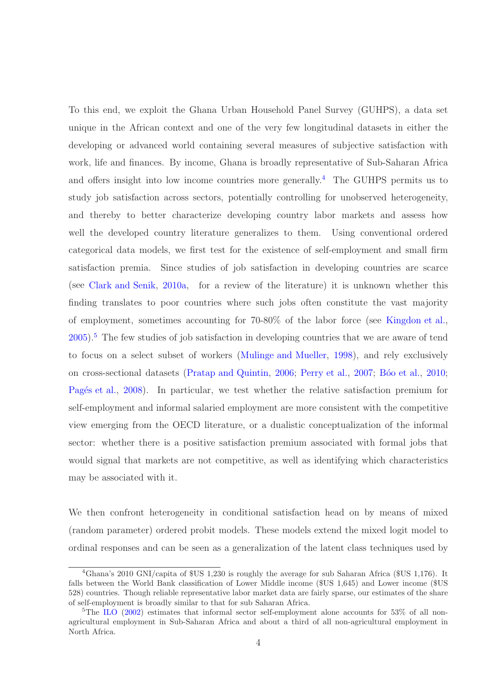To this end, we exploit the Ghana Urban Household Panel Survey (GUHPS), a data set unique in the African context and one of the very few longitudinal datasets in either the developing or advanced world containing several measures of subjective satisfaction with work, life and finances. By income, Ghana is broadly representative of Sub-Saharan Africa and offers insight into low income countries more generally.<sup>4</sup> The GUHPS permits us to study job satisfaction across sectors, potentially controlling for unobserved heterogeneity, and thereby to better characterize developing country labor markets and assess how well the developed country literature generalizes to them. Using conventional ordered categorical data models, we first test for the existence of self-employment and small firm satisfaction premia. Since studies of job satisfaction in developing countries are scarce (see [Clark and Senik,](#page-31-0) [2010a](#page-31-0), for a review of the literature) it is unknown whether this finding translates to poor countries where such jobs often constitute the vast majority of employment, sometimes accounting for 70-80% of the labor force (see [Kingdon et al.](#page-33-3),  $2005$ .<sup>5</sup> The few studies of job satisfaction in developing countries that we are aware of tend to focus on a select subset of workers [\(Mulinge and Mueller,](#page-33-5) [1998](#page-33-5)), and rely exclusively on cross-sectional datasets [\(Pratap and Quintin,](#page-33-6) [2006](#page-33-6); [Perry et al.,](#page-33-7) [2007](#page-33-7); Bóo et al., [2010](#page-30-7); Pagés et al., [2008](#page-33-8)). In particular, we test whether the relative satisfaction premium for self-employment and informal salaried employment are more consistent with the competitive view emerging from the OECD literature, or a dualistic conceptualization of the informal sector: whether there is a positive satisfaction premium associated with formal jobs that would signal that markets are not competitive, as well as identifying which characteristics may be associated with it.

We then confront heterogeneity in conditional satisfaction head on by means of mixed (random parameter) ordered probit models. These models extend the mixed logit model to ordinal responses and can be seen as a generalization of the latent class techniques used by

<sup>4</sup>Ghana's 2010 GNI/capita of \$US 1,230 is roughly the average for sub Saharan Africa (\$US 1,176). It falls between the World Bank classification of Lower Middle income (\$US 1,645) and Lower income (\$US 528) countries. Though reliable representative labor market data are fairly sparse, our estimates of the share of self-employment is broadly similar to that for sub Saharan Africa.

<sup>&</sup>lt;sup>5</sup>The [ILO](#page-32-6) [\(2002](#page-32-6)) estimates that informal sector self-employment alone accounts for 53% of all nonagricultural employment in Sub-Saharan Africa and about a third of all non-agricultural employment in North Africa.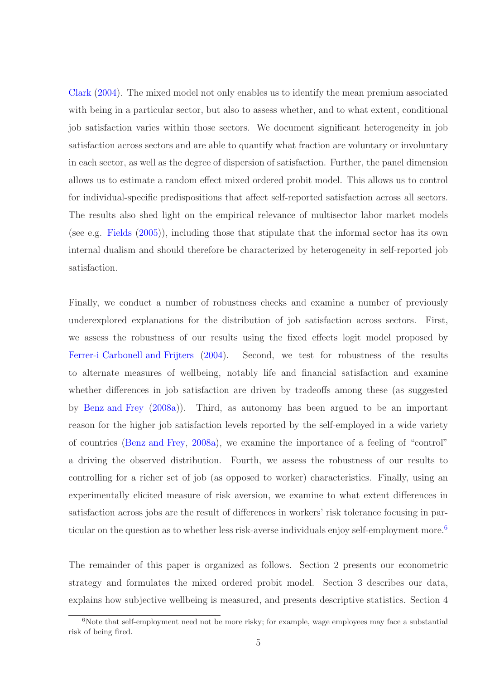[Clark](#page-31-5) [\(2004\)](#page-31-5). The mixed model not only enables us to identify the mean premium associated with being in a particular sector, but also to assess whether, and to what extent, conditional job satisfaction varies within those sectors. We document significant heterogeneity in job satisfaction across sectors and are able to quantify what fraction are voluntary or involuntary in each sector, as well as the degree of dispersion of satisfaction. Further, the panel dimension allows us to estimate a random effect mixed ordered probit model. This allows us to control for individual-specific predispositions that affect self-reported satisfaction across all sectors. The results also shed light on the empirical relevance of multisector labor market models (see e.g. [Fields](#page-32-5) [\(2005\)](#page-32-5)), including those that stipulate that the informal sector has its own internal dualism and should therefore be characterized by heterogeneity in self-reported job satisfaction.

Finally, we conduct a number of robustness checks and examine a number of previously underexplored explanations for the distribution of job satisfaction across sectors. First, we assess the robustness of our results using the fixed effects logit model proposed by [Ferrer-i Carbonell and Frijters](#page-32-7) [\(2004](#page-32-7)). Second, we test for robustness of the results to alternate measures of wellbeing, notably life and financial satisfaction and examine whether differences in job satisfaction are driven by tradeoffs among these (as suggested by [Benz and Frey](#page-30-3) [\(2008a](#page-30-3))). Third, as autonomy has been argued to be an important reason for the higher job satisfaction levels reported by the self-employed in a wide variety of countries [\(Benz and Frey,](#page-30-3) [2008a](#page-30-3)), we examine the importance of a feeling of "control" a driving the observed distribution. Fourth, we assess the robustness of our results to controlling for a richer set of job (as opposed to worker) characteristics. Finally, using an experimentally elicited measure of risk aversion, we examine to what extent differences in satisfaction across jobs are the result of differences in workers' risk tolerance focusing in particular on the question as to whether less risk-averse individuals enjoy self-employment more.<sup>6</sup>

The remainder of this paper is organized as follows. Section 2 presents our econometric strategy and formulates the mixed ordered probit model. Section 3 describes our data, explains how subjective wellbeing is measured, and presents descriptive statistics. Section 4

 $6N$ ote that self-employment need not be more risky; for example, wage employees may face a substantial risk of being fired.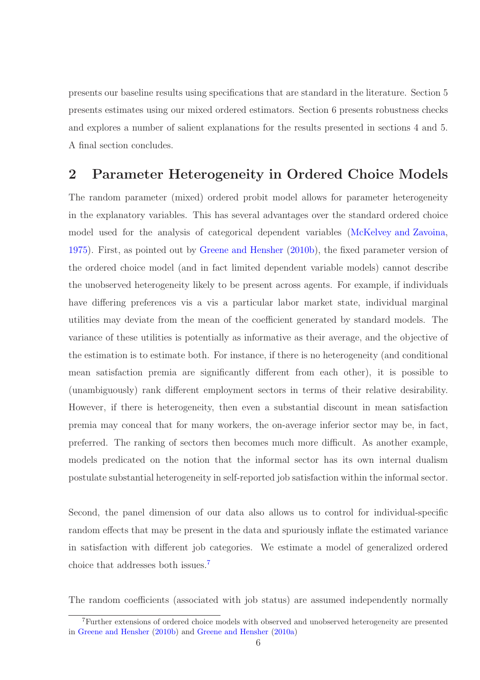presents our baseline results using specifications that are standard in the literature. Section 5 presents estimates using our mixed ordered estimators. Section 6 presents robustness checks and explores a number of salient explanations for the results presented in sections 4 and 5. A final section concludes.

## 2 Parameter Heterogeneity in Ordered Choice Models

The random parameter (mixed) ordered probit model allows for parameter heterogeneity in the explanatory variables. This has several advantages over the standard ordered choice model used for the analysis of categorical dependent variables [\(McKelvey and Zavoina](#page-33-9), [1975](#page-33-9)). First, as pointed out by [Greene and Hensher](#page-32-8) [\(2010b\)](#page-32-8), the fixed parameter version of the ordered choice model (and in fact limited dependent variable models) cannot describe the unobserved heterogeneity likely to be present across agents. For example, if individuals have differing preferences vis a vis a particular labor market state, individual marginal utilities may deviate from the mean of the coefficient generated by standard models. The variance of these utilities is potentially as informative as their average, and the objective of the estimation is to estimate both. For instance, if there is no heterogeneity (and conditional mean satisfaction premia are significantly different from each other), it is possible to (unambiguously) rank different employment sectors in terms of their relative desirability. However, if there is heterogeneity, then even a substantial discount in mean satisfaction premia may conceal that for many workers, the on-average inferior sector may be, in fact, preferred. The ranking of sectors then becomes much more difficult. As another example, models predicated on the notion that the informal sector has its own internal dualism postulate substantial heterogeneity in self-reported job satisfaction within the informal sector.

Second, the panel dimension of our data also allows us to control for individual-specific random effects that may be present in the data and spuriously inflate the estimated variance in satisfaction with different job categories. We estimate a model of generalized ordered choice that addresses both issues.<sup>7</sup>

The random coefficients (associated with job status) are assumed independently normally

<sup>7</sup>Further extensions of ordered choice models with observed and unobserved heterogeneity are presented in [Greene and Hensher](#page-32-8) [\(2010b\)](#page-32-8) and [Greene and Hensher](#page-32-9) [\(2010a\)](#page-32-9)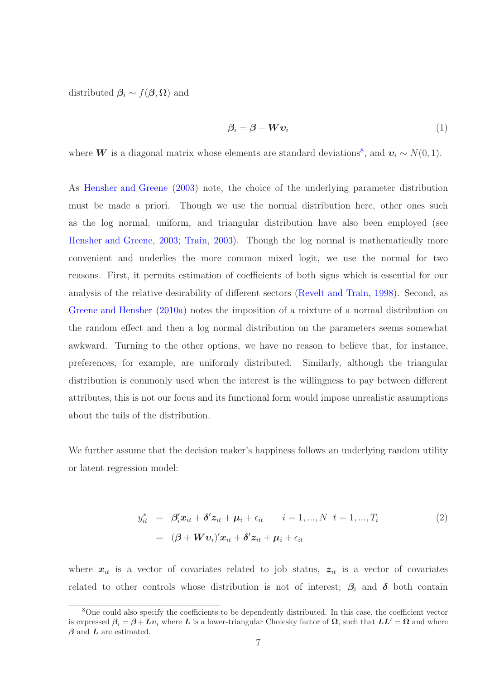distributed  $\beta_i \sim f(\boldsymbol{\beta}, \boldsymbol{\Omega})$  and

$$
\beta_i = \beta + W v_i \tag{1}
$$

where **W** is a diagonal matrix whose elements are standard deviations<sup>8</sup>, and  $v_i \sim N(0, 1)$ .

As [Hensher and Greene](#page-32-10) [\(2003](#page-32-10)) note, the choice of the underlying parameter distribution must be made a priori. Though we use the normal distribution here, other ones such as the log normal, uniform, and triangular distribution have also been employed (see [Hensher and Greene,](#page-32-10) [2003;](#page-32-10) [Train,](#page-34-2) [2003\)](#page-34-2). Though the log normal is mathematically more convenient and underlies the more common mixed logit, we use the normal for two reasons. First, it permits estimation of coefficients of both signs which is essential for our analysis of the relative desirability of different sectors [\(Revelt and Train,](#page-33-10) [1998\)](#page-33-10). Second, as [Greene and Hensher](#page-32-9) [\(2010a](#page-32-9)) notes the imposition of a mixture of a normal distribution on the random effect and then a log normal distribution on the parameters seems somewhat awkward. Turning to the other options, we have no reason to believe that, for instance, preferences, for example, are uniformly distributed. Similarly, although the triangular distribution is commonly used when the interest is the willingness to pay between different attributes, this is not our focus and its functional form would impose unrealistic assumptions about the tails of the distribution.

We further assume that the decision maker's happiness follows an underlying random utility or latent regression model:

$$
y_{it}^* = \beta_i' \mathbf{x}_{it} + \delta' \mathbf{z}_{it} + \boldsymbol{\mu}_i + \epsilon_{it} \qquad i = 1, ..., N \quad t = 1, ..., T_i
$$
  

$$
= (\boldsymbol{\beta} + \boldsymbol{W} \boldsymbol{v}_i)' \mathbf{x}_{it} + \delta' \mathbf{z}_{it} + \boldsymbol{\mu}_i + \epsilon_{it}
$$
 (2)

where  $x_{it}$  is a vector of covariates related to job status,  $z_{it}$  is a vector of covariates related to other controls whose distribution is not of interest;  $\beta_i$  and  $\delta$  both contain

<sup>8</sup>One could also specify the coefficients to be dependently distributed. In this case, the coefficient vector is expressed  $\beta_i = \beta + Lv_i$  where L is a lower-triangular Cholesky factor of  $\Omega$ , such that  $LL' = \Omega$  and where  $\beta$  and  $\boldsymbol{L}$  are estimated.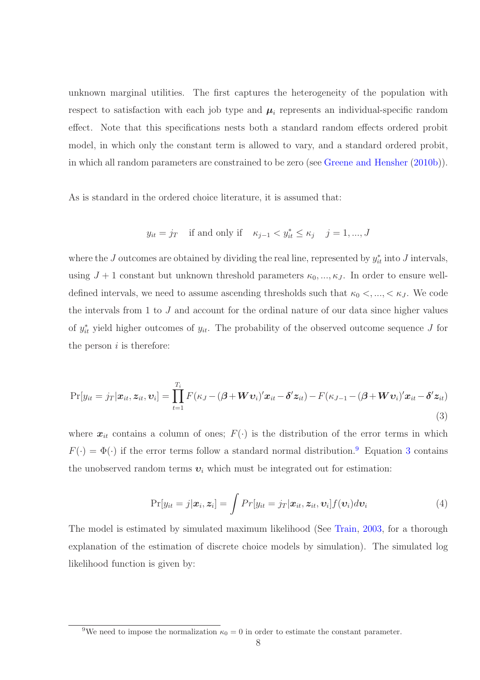unknown marginal utilities. The first captures the heterogeneity of the population with respect to satisfaction with each job type and  $\mu_i$  represents an individual-specific random effect. Note that this specifications nests both a standard random effects ordered probit model, in which only the constant term is allowed to vary, and a standard ordered probit, in which all random parameters are constrained to be zero (see [Greene and Hensher](#page-32-8) [\(2010b\)](#page-32-8)).

As is standard in the ordered choice literature, it is assumed that:

$$
y_{it} = j_T
$$
 if and only if  $\kappa_{j-1} < y_{it}^* \leq \kappa_j$   $j = 1, ..., J$ 

where the J outcomes are obtained by dividing the real line, represented by  $y_{it}^*$  into J intervals, using  $J + 1$  constant but unknown threshold parameters  $\kappa_0, ..., \kappa_J$ . In order to ensure welldefined intervals, we need to assume ascending thresholds such that  $\kappa_0 <, \ldots, < \kappa_J$ . We code the intervals from 1 to J and account for the ordinal nature of our data since higher values of  $y_{it}^*$  yield higher outcomes of  $y_{it}$ . The probability of the observed outcome sequence J for the person  $i$  is therefore:

<span id="page-7-0"></span>
$$
\Pr[y_{it} = j_T | \boldsymbol{x}_{it}, \boldsymbol{z}_{it}, \boldsymbol{v}_i] = \prod_{t=1}^{T_i} F(\kappa_J - (\boldsymbol{\beta} + \boldsymbol{W}\boldsymbol{v}_i)' \boldsymbol{x}_{it} - \boldsymbol{\delta}' \boldsymbol{z}_{it}) - F(\kappa_{J-1} - (\boldsymbol{\beta} + \boldsymbol{W}\boldsymbol{v}_i)' \boldsymbol{x}_{it} - \boldsymbol{\delta}' \boldsymbol{z}_{it})
$$
\n(3)

where  $x_{it}$  contains a column of ones;  $F(\cdot)$  is the distribution of the error terms in which  $F(\cdot) = \Phi(\cdot)$  if the error terms follow a standard normal distribution.<sup>9</sup> Equation [3](#page-7-0) contains the unobserved random terms  $v_i$  which must be integrated out for estimation:

$$
Pr[y_{it} = j|\boldsymbol{x}_i, \boldsymbol{z}_i] = \int Pr[y_{it} = j_T|\boldsymbol{x}_{it}, \boldsymbol{z}_{it}, \boldsymbol{v}_i] f(\boldsymbol{v}_i) d\boldsymbol{v}_i
$$
\n(4)

The model is estimated by simulated maximum likelihood (See [Train](#page-34-2), [2003](#page-34-2), for a thorough explanation of the estimation of discrete choice models by simulation). The simulated log likelihood function is given by:

<sup>9</sup>We need to impose the normalization  $\kappa_0 = 0$  in order to estimate the constant parameter.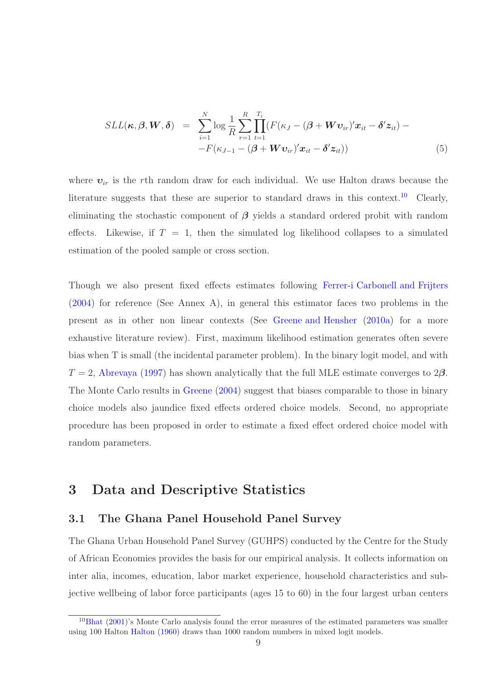$$
SLL(\boldsymbol{\kappa}, \boldsymbol{\beta}, \boldsymbol{W}, \boldsymbol{\delta}) = \sum_{i=1}^{N} \log \frac{1}{R} \sum_{r=1}^{R} \prod_{t=1}^{T_i} (F(\kappa_J - (\boldsymbol{\beta} + \boldsymbol{W} \boldsymbol{v}_{ir})' \boldsymbol{x}_{it} - \boldsymbol{\delta}' \boldsymbol{z}_{it}) -
$$

$$
-F(\kappa_{J-1} - (\boldsymbol{\beta} + \boldsymbol{W} \boldsymbol{v}_{ir})' \boldsymbol{x}_{it} - \boldsymbol{\delta}' \boldsymbol{z}_{it}))
$$
(5)

where  $v_{ir}$  is the rth random draw for each individual. We use Halton draws because the literature suggests that these are superior to standard draws in this context.<sup>10</sup> Clearly, eliminating the stochastic component of  $\beta$  yields a standard ordered probit with random effects. Likewise, if  $T = 1$ , then the simulated log likelihood collapses to a simulated estimation of the pooled sample or cross section.

Though we also present fixed effects estimates following [Ferrer-i Carbonell and Frijters](#page-32-7) [\(2004](#page-32-7)) for reference (See Annex A), in general this estimator faces two problems in the present as in other non linear contexts (See [Greene and Hensher](#page-32-9) [\(2010a\)](#page-32-9) for a more exhaustive literature review). First, maximum likelihood estimation generates often severe bias when T is small (the incidental parameter problem). In the binary logit model, and with  $T = 2$ , [Abrevaya](#page-30-8) [\(1997\)](#page-30-8) has shown analytically that the full MLE estimate converges to 2 $\beta$ . The Monte Carlo results in [Greene](#page-32-11) [\(2004](#page-32-11)) suggest that biases comparable to those in binary choice models also jaundice fixed effects ordered choice models. Second, no appropriate procedure has been proposed in order to estimate a fixed effect ordered choice model with random parameters.

## 3 Data and Descriptive Statistics

#### 3.1 The Ghana Panel Household Panel Survey

The Ghana Urban Household Panel Survey (GUHPS) conducted by the Centre for the Study of African Economies provides the basis for our empirical analysis. It collects information on inter alia, incomes, education, labor market experience, household characteristics and subjective wellbeing of labor force participants (ages 15 to 60) in the four largest urban centers

 $10Bhat (2001)$  $10Bhat (2001)$  $10Bhat (2001)$  $10Bhat (2001)$ 's Monte Carlo analysis found the error measures of the estimated parameters was smaller using 100 Halton [Halton](#page-32-12) [\(1960](#page-32-12)) draws than 1000 random numbers in mixed logit models.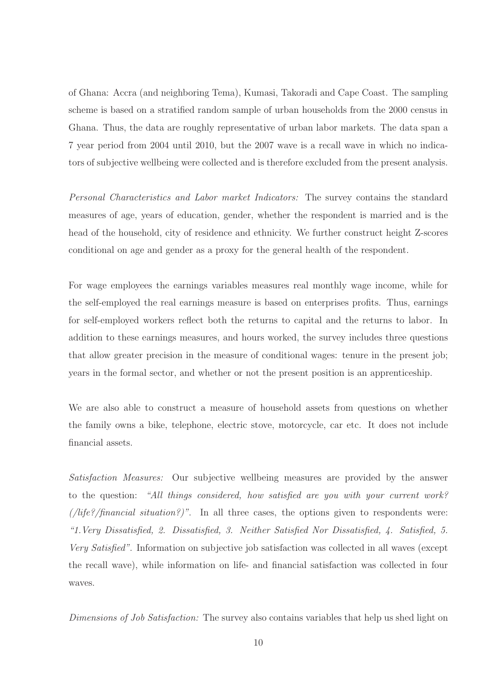of Ghana: Accra (and neighboring Tema), Kumasi, Takoradi and Cape Coast. The sampling scheme is based on a stratified random sample of urban households from the 2000 census in Ghana. Thus, the data are roughly representative of urban labor markets. The data span a 7 year period from 2004 until 2010, but the 2007 wave is a recall wave in which no indicators of subjective wellbeing were collected and is therefore excluded from the present analysis.

*Personal Characteristics and Labor market Indicators:* The survey contains the standard measures of age, years of education, gender, whether the respondent is married and is the head of the household, city of residence and ethnicity. We further construct height Z-scores conditional on age and gender as a proxy for the general health of the respondent.

For wage employees the earnings variables measures real monthly wage income, while for the self-employed the real earnings measure is based on enterprises profits. Thus, earnings for self-employed workers reflect both the returns to capital and the returns to labor. In addition to these earnings measures, and hours worked, the survey includes three questions that allow greater precision in the measure of conditional wages: tenure in the present job; years in the formal sector, and whether or not the present position is an apprenticeship.

We are also able to construct a measure of household assets from questions on whether the family owns a bike, telephone, electric stove, motorcycle, car etc. It does not include financial assets.

*Satisfaction Measures:* Our subjective wellbeing measures are provided by the answer to the question: *"All things considered, how satisfied are you with your current work? (/life?/financial situation?)"*. In all three cases, the options given to respondents were: *"1.Very Dissatisfied, 2. Dissatisfied, 3. Neither Satisfied Nor Dissatisfied, 4. Satisfied, 5. Very Satisfied"*. Information on subjective job satisfaction was collected in all waves (except the recall wave), while information on life- and financial satisfaction was collected in four waves.

*Dimensions of Job Satisfaction:* The survey also contains variables that help us shed light on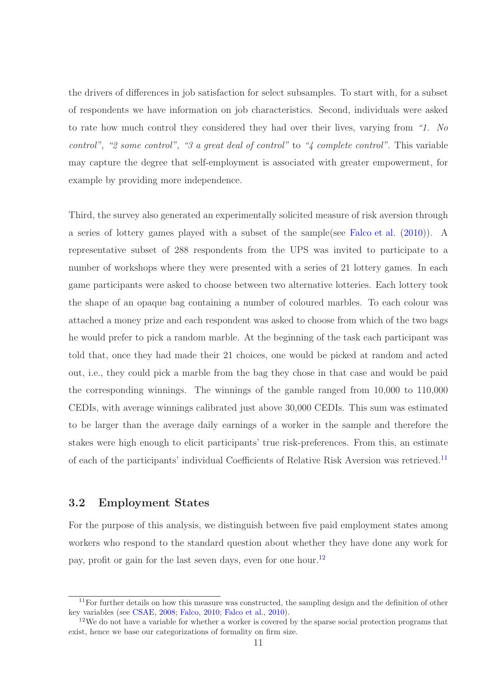the drivers of differences in job satisfaction for select subsamples. To start with, for a subset of respondents we have information on job characteristics. Second, individuals were asked to rate how much control they considered they had over their lives, varying from *"1. No control", "2 some control", "3 a great deal of control"* to *"4 complete control"*. This variable may capture the degree that self-employment is associated with greater empowerment, for example by providing more independence.

Third, the survey also generated an experimentally solicited measure of risk aversion through a series of lottery games played with a subset of the sample(see [Falco et al.](#page-31-3) [\(2010](#page-31-3))). A representative subset of 288 respondents from the UPS was invited to participate to a number of workshops where they were presented with a series of 21 lottery games. In each game participants were asked to choose between two alternative lotteries. Each lottery took the shape of an opaque bag containing a number of coloured marbles. To each colour was attached a money prize and each respondent was asked to choose from which of the two bags he would prefer to pick a random marble. At the beginning of the task each participant was told that, once they had made their 21 choices, one would be picked at random and acted out, i.e., they could pick a marble from the bag they chose in that case and would be paid the corresponding winnings. The winnings of the gamble ranged from 10,000 to 110,000 CEDIs, with average winnings calibrated just above 30,000 CEDIs. This sum was estimated to be larger than the average daily earnings of a worker in the sample and therefore the stakes were high enough to elicit participants' true risk-preferences. From this, an estimate of each of the participants' individual Coefficients of Relative Risk Aversion was retrieved.<sup>11</sup>

#### 3.2 Employment States

For the purpose of this analysis, we distinguish between five paid employment states among workers who respond to the standard question about whether they have done any work for pay, profit or gain for the last seven days, even for one hour.<sup>12</sup>

 $11$  For further details on how this measure was constructed, the sampling design and the definition of other key variables (see [CSAE](#page-31-6), [2008](#page-31-6); [Falco](#page-31-7), [2010](#page-31-7); [Falco et al.,](#page-31-3) [2010\)](#page-31-3).

 $12$ We do not have a variable for whether a worker is covered by the sparse social protection programs that exist, hence we base our categorizations of formality on firm size.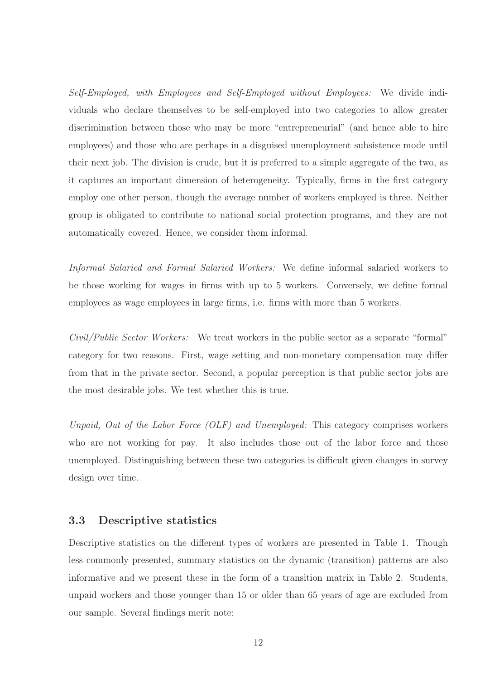*Self-Employed, with Employees and Self-Employed without Employees:* We divide individuals who declare themselves to be self-employed into two categories to allow greater discrimination between those who may be more "entrepreneurial" (and hence able to hire employees) and those who are perhaps in a disguised unemployment subsistence mode until their next job. The division is crude, but it is preferred to a simple aggregate of the two, as it captures an important dimension of heterogeneity. Typically, firms in the first category employ one other person, though the average number of workers employed is three. Neither group is obligated to contribute to national social protection programs, and they are not automatically covered. Hence, we consider them informal.

*Informal Salaried and Formal Salaried Workers:* We define informal salaried workers to be those working for wages in firms with up to 5 workers. Conversely, we define formal employees as wage employees in large firms, i.e. firms with more than 5 workers.

*Civil/Public Sector Workers:* We treat workers in the public sector as a separate "formal" category for two reasons. First, wage setting and non-monetary compensation may differ from that in the private sector. Second, a popular perception is that public sector jobs are the most desirable jobs. We test whether this is true.

*Unpaid, Out of the Labor Force (OLF) and Unemployed:* This category comprises workers who are not working for pay. It also includes those out of the labor force and those unemployed. Distinguishing between these two categories is difficult given changes in survey design over time.

### 3.3 Descriptive statistics

Descriptive statistics on the different types of workers are presented in Table 1. Though less commonly presented, summary statistics on the dynamic (transition) patterns are also informative and we present these in the form of a transition matrix in Table 2. Students, unpaid workers and those younger than 15 or older than 65 years of age are excluded from our sample. Several findings merit note: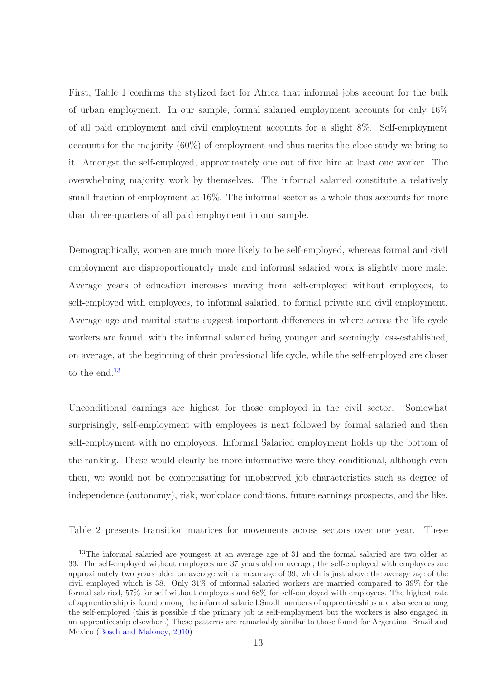First, Table 1 confirms the stylized fact for Africa that informal jobs account for the bulk of urban employment. In our sample, formal salaried employment accounts for only 16% of all paid employment and civil employment accounts for a slight 8%. Self-employment accounts for the majority (60%) of employment and thus merits the close study we bring to it. Amongst the self-employed, approximately one out of five hire at least one worker. The overwhelming majority work by themselves. The informal salaried constitute a relatively small fraction of employment at 16%. The informal sector as a whole thus accounts for more than three-quarters of all paid employment in our sample.

Demographically, women are much more likely to be self-employed, whereas formal and civil employment are disproportionately male and informal salaried work is slightly more male. Average years of education increases moving from self-employed without employees, to self-employed with employees, to informal salaried, to formal private and civil employment. Average age and marital status suggest important differences in where across the life cycle workers are found, with the informal salaried being younger and seemingly less-established, on average, at the beginning of their professional life cycle, while the self-employed are closer to the end.<sup>13</sup>

Unconditional earnings are highest for those employed in the civil sector. Somewhat surprisingly, self-employment with employees is next followed by formal salaried and then self-employment with no employees. Informal Salaried employment holds up the bottom of the ranking. These would clearly be more informative were they conditional, although even then, we would not be compensating for unobserved job characteristics such as degree of independence (autonomy), risk, workplace conditions, future earnings prospects, and the like.

Table 2 presents transition matrices for movements across sectors over one year. These

<sup>&</sup>lt;sup>13</sup>The informal salaried are youngest at an average age of 31 and the formal salaried are two older at 33. The self-employed without employees are 37 years old on average; the self-employed with employees are approximately two years older on average with a mean age of 39, which is just above the average age of the civil employed which is 38. Only 31% of informal salaried workers are married compared to 39% for the formal salaried, 57% for self without employees and 68% for self-employed with employees. The highest rate of apprenticeship is found among the informal salaried.Small numbers of apprenticeships are also seen among the self-employed (this is possible if the primary job is self-employment but the workers is also engaged in an apprenticeship elsewhere) These patterns are remarkably similar to those found for Argentina, Brazil and Mexico [\(Bosch and Maloney,](#page-30-6) [2010\)](#page-30-6)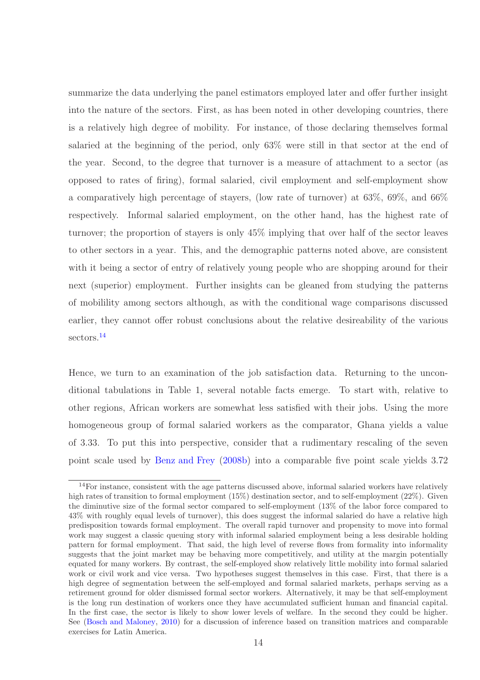summarize the data underlying the panel estimators employed later and offer further insight into the nature of the sectors. First, as has been noted in other developing countries, there is a relatively high degree of mobility. For instance, of those declaring themselves formal salaried at the beginning of the period, only 63% were still in that sector at the end of the year. Second, to the degree that turnover is a measure of attachment to a sector (as opposed to rates of firing), formal salaried, civil employment and self-employment show a comparatively high percentage of stayers, (low rate of turnover) at 63%, 69%, and 66% respectively. Informal salaried employment, on the other hand, has the highest rate of turnover; the proportion of stayers is only 45% implying that over half of the sector leaves to other sectors in a year. This, and the demographic patterns noted above, are consistent with it being a sector of entry of relatively young people who are shopping around for their next (superior) employment. Further insights can be gleaned from studying the patterns of mobilility among sectors although, as with the conditional wage comparisons discussed earlier, they cannot offer robust conclusions about the relative desireability of the various sectors.<sup>14</sup>

Hence, we turn to an examination of the job satisfaction data. Returning to the unconditional tabulations in Table 1, several notable facts emerge. To start with, relative to other regions, African workers are somewhat less satisfied with their jobs. Using the more homogeneous group of formal salaried workers as the comparator, Ghana yields a value of 3.33. To put this into perspective, consider that a rudimentary rescaling of the seven point scale used by [Benz and Frey](#page-30-4) [\(2008b](#page-30-4)) into a comparable five point scale yields 3.72

<sup>&</sup>lt;sup>14</sup>For instance, consistent with the age patterns discussed above, informal salaried workers have relatively high rates of transition to formal employment (15%) destination sector, and to self-employment (22%). Given the diminutive size of the formal sector compared to self-employment (13% of the labor force compared to 43% with roughly equal levels of turnover), this does suggest the informal salaried do have a relative high predisposition towards formal employment. The overall rapid turnover and propensity to move into formal work may suggest a classic queuing story with informal salaried employment being a less desirable holding pattern for formal employment. That said, the high level of reverse flows from formality into informality suggests that the joint market may be behaving more competitively, and utility at the margin potentially equated for many workers. By contrast, the self-employed show relatively little mobility into formal salaried work or civil work and vice versa. Two hypotheses suggest themselves in this case. First, that there is a high degree of segmentation between the self-employed and formal salaried markets, perhaps serving as a retirement ground for older dismissed formal sector workers. Alternatively, it may be that self-employment is the long run destination of workers once they have accumulated sufficient human and financial capital. In the first case, the sector is likely to show lower levels of welfare. In the second they could be higher. See [\(Bosch and Maloney,](#page-30-6) [2010\)](#page-30-6) for a discussion of inference based on transition matrices and comparable exercises for Latin America.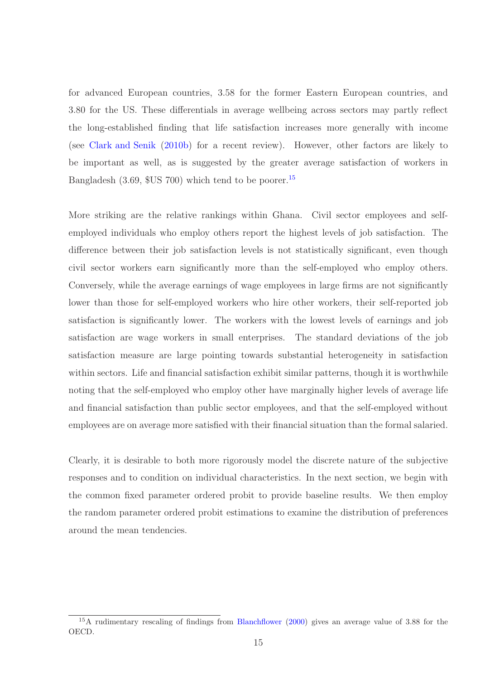for advanced European countries, 3.58 for the former Eastern European countries, and 3.80 for the US. These differentials in average wellbeing across sectors may partly reflect the long-established finding that life satisfaction increases more generally with income (see [Clark and Senik](#page-31-8) [\(2010b\)](#page-31-8) for a recent review). However, other factors are likely to be important as well, as is suggested by the greater average satisfaction of workers in Bangladesh (3.69, \$US 700) which tend to be poorer.<sup>15</sup>

More striking are the relative rankings within Ghana. Civil sector employees and selfemployed individuals who employ others report the highest levels of job satisfaction. The difference between their job satisfaction levels is not statistically significant, even though civil sector workers earn significantly more than the self-employed who employ others. Conversely, while the average earnings of wage employees in large firms are not significantly lower than those for self-employed workers who hire other workers, their self-reported job satisfaction is significantly lower. The workers with the lowest levels of earnings and job satisfaction are wage workers in small enterprises. The standard deviations of the job satisfaction measure are large pointing towards substantial heterogeneity in satisfaction within sectors. Life and financial satisfaction exhibit similar patterns, though it is worthwhile noting that the self-employed who employ other have marginally higher levels of average life and financial satisfaction than public sector employees, and that the self-employed without employees are on average more satisfied with their financial situation than the formal salaried.

Clearly, it is desirable to both more rigorously model the discrete nature of the subjective responses and to condition on individual characteristics. In the next section, we begin with the common fixed parameter ordered probit to provide baseline results. We then employ the random parameter ordered probit estimations to examine the distribution of preferences around the mean tendencies.

<sup>&</sup>lt;sup>15</sup>A rudimentary rescaling of findings from [Blanchflower](#page-30-2) [\(2000\)](#page-30-2) gives an average value of 3.88 for the OECD.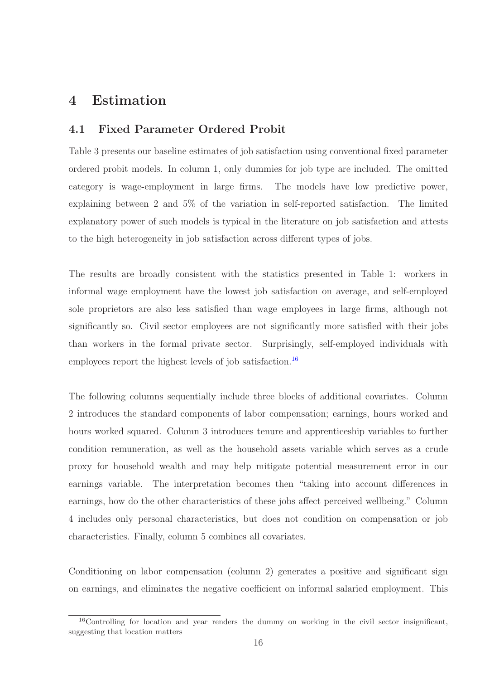## 4 Estimation

### 4.1 Fixed Parameter Ordered Probit

Table 3 presents our baseline estimates of job satisfaction using conventional fixed parameter ordered probit models. In column 1, only dummies for job type are included. The omitted category is wage-employment in large firms. The models have low predictive power, explaining between 2 and 5% of the variation in self-reported satisfaction. The limited explanatory power of such models is typical in the literature on job satisfaction and attests to the high heterogeneity in job satisfaction across different types of jobs.

The results are broadly consistent with the statistics presented in Table 1: workers in informal wage employment have the lowest job satisfaction on average, and self-employed sole proprietors are also less satisfied than wage employees in large firms, although not significantly so. Civil sector employees are not significantly more satisfied with their jobs than workers in the formal private sector. Surprisingly, self-employed individuals with employees report the highest levels of job satisfaction.<sup>16</sup>

The following columns sequentially include three blocks of additional covariates. Column 2 introduces the standard components of labor compensation; earnings, hours worked and hours worked squared. Column 3 introduces tenure and apprenticeship variables to further condition remuneration, as well as the household assets variable which serves as a crude proxy for household wealth and may help mitigate potential measurement error in our earnings variable. The interpretation becomes then "taking into account differences in earnings, how do the other characteristics of these jobs affect perceived wellbeing." Column 4 includes only personal characteristics, but does not condition on compensation or job characteristics. Finally, column 5 combines all covariates.

Conditioning on labor compensation (column 2) generates a positive and significant sign on earnings, and eliminates the negative coefficient on informal salaried employment. This

 $16$ Controlling for location and year renders the dummy on working in the civil sector insignificant, suggesting that location matters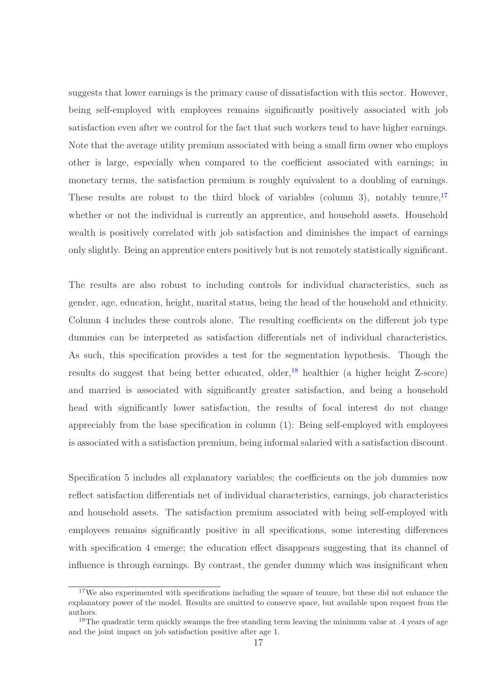suggests that lower earnings is the primary cause of dissatisfaction with this sector. However, being self-employed with employees remains significantly positively associated with job satisfaction even after we control for the fact that such workers tend to have higher earnings. Note that the average utility premium associated with being a small firm owner who employs other is large, especially when compared to the coefficient associated with earnings; in monetary terms, the satisfaction premium is roughly equivalent to a doubling of earnings. These results are robust to the third block of variables (column 3), notably tenure,  $17$ whether or not the individual is currently an apprentice, and household assets. Household wealth is positively correlated with job satisfaction and diminishes the impact of earnings only slightly. Being an apprentice enters positively but is not remotely statistically significant.

The results are also robust to including controls for individual characteristics, such as gender, age, education, height, marital status, being the head of the household and ethnicity. Column 4 includes these controls alone. The resulting coefficients on the different job type dummies can be interpreted as satisfaction differentials net of individual characteristics. As such, this specification provides a test for the segmentation hypothesis. Though the results do suggest that being better educated, older,<sup>18</sup> healthier (a higher height Z-score) and married is associated with significantly greater satisfaction, and being a household head with significantly lower satisfaction, the results of focal interest do not change appreciably from the base specification in column (1): Being self-employed with employees is associated with a satisfaction premium, being informal salaried with a satisfaction discount.

Specification 5 includes all explanatory variables; the coefficients on the job dummies now reflect satisfaction differentials net of individual characteristics, earnings, job characteristics and household assets. The satisfaction premium associated with being self-employed with employees remains significantly positive in all specifications, some interesting differences with specification 4 emerge; the education effect disappears suggesting that its channel of influence is through earnings. By contrast, the gender dummy which was insignificant when

<sup>&</sup>lt;sup>17</sup>We also experimented with specifications including the square of tenure, but these did not enhance the explanatory power of the model. Results are omitted to conserve space, but available upon request from the authors.

<sup>&</sup>lt;sup>18</sup>The quadratic term quickly swamps the free standing term leaving the minimum value at .4 years of age and the joint impact on job satisfaction positive after age 1.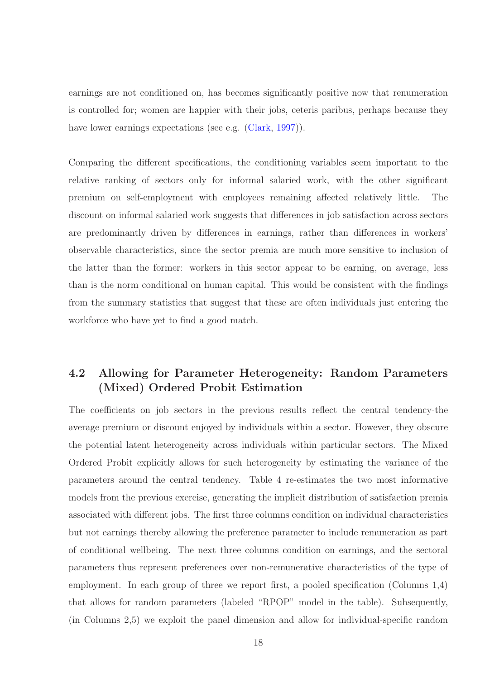earnings are not conditioned on, has becomes significantly positive now that renumeration is controlled for; women are happier with their jobs, ceteris paribus, perhaps because they have lower earnings expectations (see e.g. [\(Clark,](#page-31-9) [1997](#page-31-9))).

Comparing the different specifications, the conditioning variables seem important to the relative ranking of sectors only for informal salaried work, with the other significant premium on self-employment with employees remaining affected relatively little. The discount on informal salaried work suggests that differences in job satisfaction across sectors are predominantly driven by differences in earnings, rather than differences in workers' observable characteristics, since the sector premia are much more sensitive to inclusion of the latter than the former: workers in this sector appear to be earning, on average, less than is the norm conditional on human capital. This would be consistent with the findings from the summary statistics that suggest that these are often individuals just entering the workforce who have yet to find a good match.

## 4.2 Allowing for Parameter Heterogeneity: Random Parameters (Mixed) Ordered Probit Estimation

The coefficients on job sectors in the previous results reflect the central tendency-the average premium or discount enjoyed by individuals within a sector. However, they obscure the potential latent heterogeneity across individuals within particular sectors. The Mixed Ordered Probit explicitly allows for such heterogeneity by estimating the variance of the parameters around the central tendency. Table 4 re-estimates the two most informative models from the previous exercise, generating the implicit distribution of satisfaction premia associated with different jobs. The first three columns condition on individual characteristics but not earnings thereby allowing the preference parameter to include remuneration as part of conditional wellbeing. The next three columns condition on earnings, and the sectoral parameters thus represent preferences over non-remunerative characteristics of the type of employment. In each group of three we report first, a pooled specification (Columns 1,4) that allows for random parameters (labeled "RPOP" model in the table). Subsequently, (in Columns 2,5) we exploit the panel dimension and allow for individual-specific random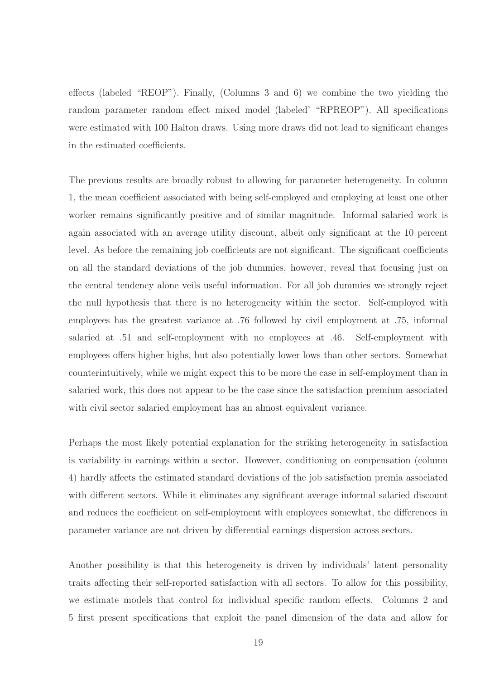effects (labeled "REOP"). Finally, (Columns 3 and 6) we combine the two yielding the random parameter random effect mixed model (labeled' "RPREOP"). All specifications were estimated with 100 Halton draws. Using more draws did not lead to significant changes in the estimated coefficients.

The previous results are broadly robust to allowing for parameter heterogeneity. In column 1, the mean coefficient associated with being self-employed and employing at least one other worker remains significantly positive and of similar magnitude. Informal salaried work is again associated with an average utility discount, albeit only significant at the 10 percent level. As before the remaining job coefficients are not significant. The significant coefficients on all the standard deviations of the job dummies, however, reveal that focusing just on the central tendency alone veils useful information. For all job dummies we strongly reject the null hypothesis that there is no heterogeneity within the sector. Self-employed with employees has the greatest variance at .76 followed by civil employment at .75, informal salaried at .51 and self-employment with no employees at .46. Self-employment with employees offers higher highs, but also potentially lower lows than other sectors. Somewhat counterintuitively, while we might expect this to be more the case in self-employment than in salaried work, this does not appear to be the case since the satisfaction premium associated with civil sector salaried employment has an almost equivalent variance.

Perhaps the most likely potential explanation for the striking heterogeneity in satisfaction is variability in earnings within a sector. However, conditioning on compensation (column 4) hardly affects the estimated standard deviations of the job satisfaction premia associated with different sectors. While it eliminates any significant average informal salaried discount and reduces the coefficient on self-employment with employees somewhat, the differences in parameter variance are not driven by differential earnings dispersion across sectors.

Another possibility is that this heterogeneity is driven by individuals' latent personality traits affecting their self-reported satisfaction with all sectors. To allow for this possibility, we estimate models that control for individual specific random effects. Columns 2 and 5 first present specifications that exploit the panel dimension of the data and allow for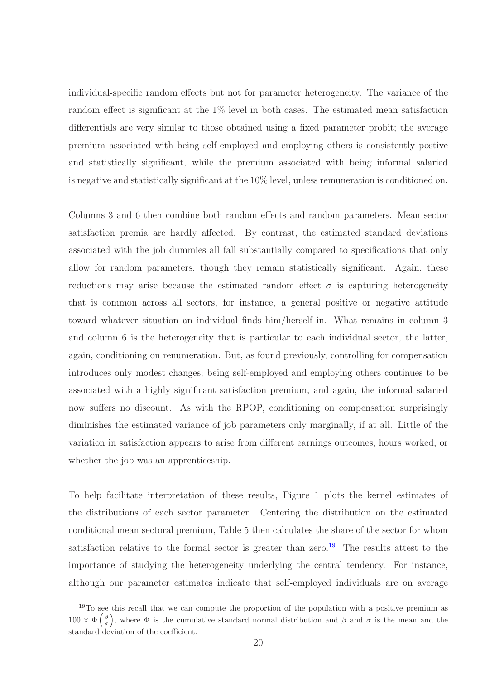individual-specific random effects but not for parameter heterogeneity. The variance of the random effect is significant at the 1% level in both cases. The estimated mean satisfaction differentials are very similar to those obtained using a fixed parameter probit; the average premium associated with being self-employed and employing others is consistently postive and statistically significant, while the premium associated with being informal salaried is negative and statistically significant at the 10% level, unless remuneration is conditioned on.

Columns 3 and 6 then combine both random effects and random parameters. Mean sector satisfaction premia are hardly affected. By contrast, the estimated standard deviations associated with the job dummies all fall substantially compared to specifications that only allow for random parameters, though they remain statistically significant. Again, these reductions may arise because the estimated random effect  $\sigma$  is capturing heterogeneity that is common across all sectors, for instance, a general positive or negative attitude toward whatever situation an individual finds him/herself in. What remains in column 3 and column 6 is the heterogeneity that is particular to each individual sector, the latter, again, conditioning on renumeration. But, as found previously, controlling for compensation introduces only modest changes; being self-employed and employing others continues to be associated with a highly significant satisfaction premium, and again, the informal salaried now suffers no discount. As with the RPOP, conditioning on compensation surprisingly diminishes the estimated variance of job parameters only marginally, if at all. Little of the variation in satisfaction appears to arise from different earnings outcomes, hours worked, or whether the job was an apprenticeship.

To help facilitate interpretation of these results, Figure 1 plots the kernel estimates of the distributions of each sector parameter. Centering the distribution on the estimated conditional mean sectoral premium, Table 5 then calculates the share of the sector for whom satisfaction relative to the formal sector is greater than zero.<sup>19</sup> The results attest to the importance of studying the heterogeneity underlying the central tendency. For instance, although our parameter estimates indicate that self-employed individuals are on average

<sup>&</sup>lt;sup>19</sup>To see this recall that we can compute the proportion of the population with a positive premium as  $100 \times \Phi\left(\frac{\beta}{\sigma}\right)$ , where  $\Phi$  is the cumulative standard normal distribution and  $\beta$  and  $\sigma$  is the mean and the standard deviation of the coefficient.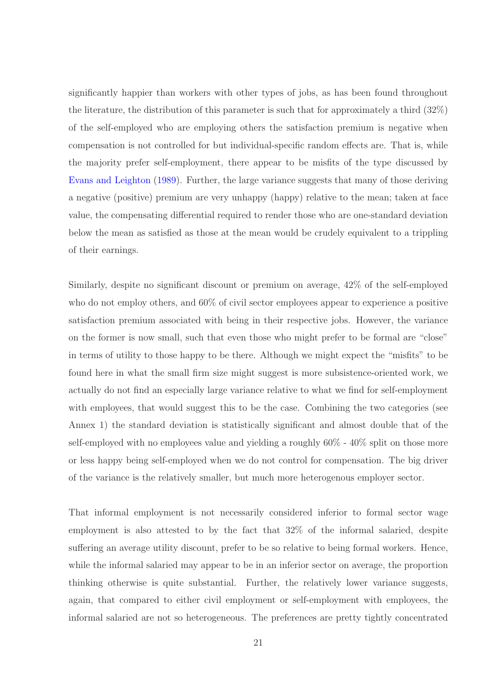significantly happier than workers with other types of jobs, as has been found throughout the literature, the distribution of this parameter is such that for approximately a third (32%) of the self-employed who are employing others the satisfaction premium is negative when compensation is not controlled for but individual-specific random effects are. That is, while the majority prefer self-employment, there appear to be misfits of the type discussed by [Evans and Leighton](#page-31-1) [\(1989](#page-31-1)). Further, the large variance suggests that many of those deriving a negative (positive) premium are very unhappy (happy) relative to the mean; taken at face value, the compensating differential required to render those who are one-standard deviation below the mean as satisfied as those at the mean would be crudely equivalent to a trippling of their earnings.

Similarly, despite no significant discount or premium on average, 42% of the self-employed who do not employ others, and 60% of civil sector employees appear to experience a positive satisfaction premium associated with being in their respective jobs. However, the variance on the former is now small, such that even those who might prefer to be formal are "close" in terms of utility to those happy to be there. Although we might expect the "misfits" to be found here in what the small firm size might suggest is more subsistence-oriented work, we actually do not find an especially large variance relative to what we find for self-employment with employees, that would suggest this to be the case. Combining the two categories (see Annex 1) the standard deviation is statistically significant and almost double that of the self-employed with no employees value and yielding a roughly 60% - 40% split on those more or less happy being self-employed when we do not control for compensation. The big driver of the variance is the relatively smaller, but much more heterogenous employer sector.

That informal employment is not necessarily considered inferior to formal sector wage employment is also attested to by the fact that 32% of the informal salaried, despite suffering an average utility discount, prefer to be so relative to being formal workers. Hence, while the informal salaried may appear to be in an inferior sector on average, the proportion thinking otherwise is quite substantial. Further, the relatively lower variance suggests, again, that compared to either civil employment or self-employment with employees, the informal salaried are not so heterogeneous. The preferences are pretty tightly concentrated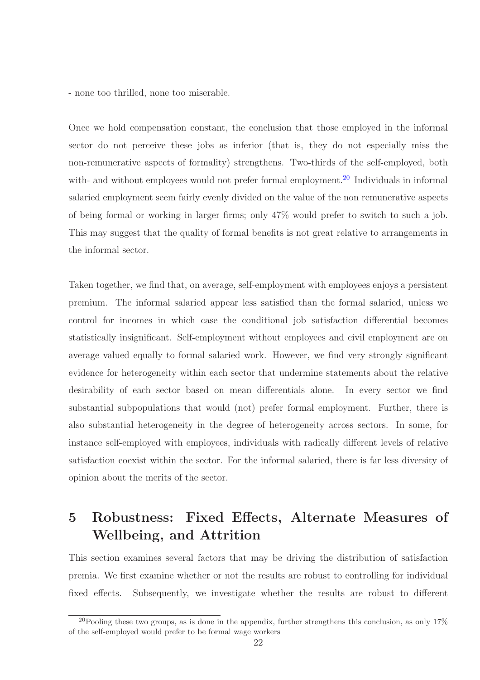- none too thrilled, none too miserable.

Once we hold compensation constant, the conclusion that those employed in the informal sector do not perceive these jobs as inferior (that is, they do not especially miss the non-remunerative aspects of formality) strengthens. Two-thirds of the self-employed, both with- and without employees would not prefer formal employment.<sup>20</sup> Individuals in informal salaried employment seem fairly evenly divided on the value of the non remunerative aspects of being formal or working in larger firms; only 47% would prefer to switch to such a job. This may suggest that the quality of formal benefits is not great relative to arrangements in the informal sector.

Taken together, we find that, on average, self-employment with employees enjoys a persistent premium. The informal salaried appear less satisfied than the formal salaried, unless we control for incomes in which case the conditional job satisfaction differential becomes statistically insignificant. Self-employment without employees and civil employment are on average valued equally to formal salaried work. However, we find very strongly significant evidence for heterogeneity within each sector that undermine statements about the relative desirability of each sector based on mean differentials alone. In every sector we find substantial subpopulations that would (not) prefer formal employment. Further, there is also substantial heterogeneity in the degree of heterogeneity across sectors. In some, for instance self-employed with employees, individuals with radically different levels of relative satisfaction coexist within the sector. For the informal salaried, there is far less diversity of opinion about the merits of the sector.

## 5 Robustness: Fixed Effects, Alternate Measures of Wellbeing, and Attrition

This section examines several factors that may be driving the distribution of satisfaction premia. We first examine whether or not the results are robust to controlling for individual fixed effects. Subsequently, we investigate whether the results are robust to different

<sup>&</sup>lt;sup>20</sup>Pooling these two groups, as is done in the appendix, further strengthens this conclusion, as only 17% of the self-employed would prefer to be formal wage workers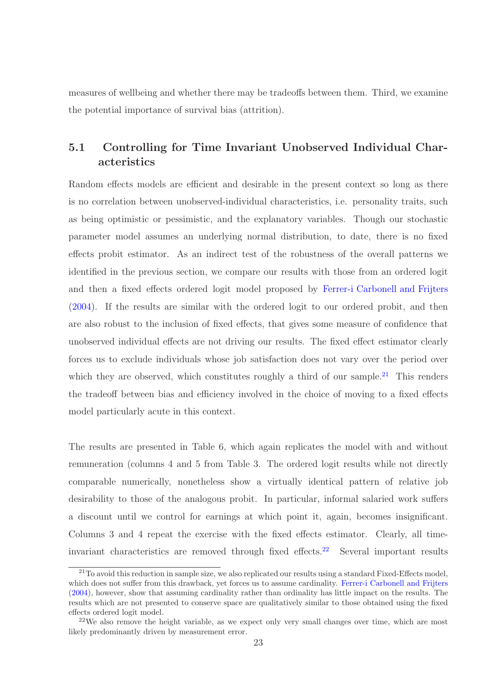measures of wellbeing and whether there may be tradeoffs between them. Third, we examine the potential importance of survival bias (attrition).

## 5.1 Controlling for Time Invariant Unobserved Individual Characteristics

Random effects models are efficient and desirable in the present context so long as there is no correlation between unobserved-individual characteristics, i.e. personality traits, such as being optimistic or pessimistic, and the explanatory variables. Though our stochastic parameter model assumes an underlying normal distribution, to date, there is no fixed effects probit estimator. As an indirect test of the robustness of the overall patterns we identified in the previous section, we compare our results with those from an ordered logit and then a fixed effects ordered logit model proposed by [Ferrer-i Carbonell and Frijters](#page-32-7) [\(2004](#page-32-7)). If the results are similar with the ordered logit to our ordered probit, and then are also robust to the inclusion of fixed effects, that gives some measure of confidence that unobserved individual effects are not driving our results. The fixed effect estimator clearly forces us to exclude individuals whose job satisfaction does not vary over the period over which they are observed, which constitutes roughly a third of our sample.<sup>21</sup> This renders the tradeoff between bias and efficiency involved in the choice of moving to a fixed effects model particularly acute in this context.

The results are presented in Table 6, which again replicates the model with and without remuneration (columns 4 and 5 from Table 3. The ordered logit results while not directly comparable numerically, nonetheless show a virtually identical pattern of relative job desirability to those of the analogous probit. In particular, informal salaried work suffers a discount until we control for earnings at which point it, again, becomes insignificant. Columns 3 and 4 repeat the exercise with the fixed effects estimator. Clearly, all timeinvariant characteristics are removed through fixed effects.<sup>22</sup> Several important results

<sup>&</sup>lt;sup>21</sup>To avoid this reduction in sample size, we also replicated our results using a standard Fixed-Effects model, which does not suffer from this drawback, yet forces us to assume cardinality. [Ferrer-i Carbonell and Frijters](#page-32-7) [\(2004\)](#page-32-7), however, show that assuming cardinality rather than ordinality has little impact on the results. The results which are not presented to conserve space are qualitatively similar to those obtained using the fixed effects ordered logit model.

 $22$ We also remove the height variable, as we expect only very small changes over time, which are most likely predominantly driven by measurement error.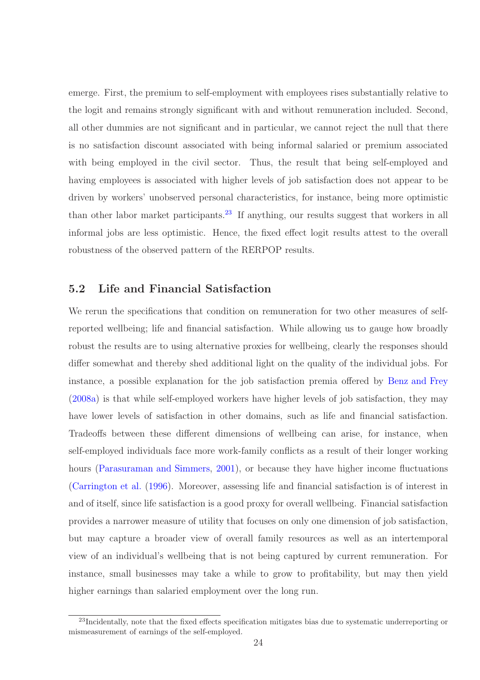emerge. First, the premium to self-employment with employees rises substantially relative to the logit and remains strongly significant with and without remuneration included. Second, all other dummies are not significant and in particular, we cannot reject the null that there is no satisfaction discount associated with being informal salaried or premium associated with being employed in the civil sector. Thus, the result that being self-employed and having employees is associated with higher levels of job satisfaction does not appear to be driven by workers' unobserved personal characteristics, for instance, being more optimistic than other labor market participants.<sup>23</sup> If anything, our results suggest that workers in all informal jobs are less optimistic. Hence, the fixed effect logit results attest to the overall robustness of the observed pattern of the RERPOP results.

#### 5.2 Life and Financial Satisfaction

We rerun the specifications that condition on remuneration for two other measures of selfreported wellbeing; life and financial satisfaction. While allowing us to gauge how broadly robust the results are to using alternative proxies for wellbeing, clearly the responses should differ somewhat and thereby shed additional light on the quality of the individual jobs. For instance, a possible explanation for the job satisfaction premia offered by [Benz and Frey](#page-30-3) [\(2008a\)](#page-30-3) is that while self-employed workers have higher levels of job satisfaction, they may have lower levels of satisfaction in other domains, such as life and financial satisfaction. Tradeoffs between these different dimensions of wellbeing can arise, for instance, when self-employed individuals face more work-family conflicts as a result of their longer working hours [\(Parasuraman and Simmers](#page-33-11), [2001\)](#page-33-11), or because they have higher income fluctuations [\(Carrington et al.](#page-31-10) [\(1996\)](#page-31-10). Moreover, assessing life and financial satisfaction is of interest in and of itself, since life satisfaction is a good proxy for overall wellbeing. Financial satisfaction provides a narrower measure of utility that focuses on only one dimension of job satisfaction, but may capture a broader view of overall family resources as well as an intertemporal view of an individual's wellbeing that is not being captured by current remuneration. For instance, small businesses may take a while to grow to profitability, but may then yield higher earnings than salaried employment over the long run.

<sup>&</sup>lt;sup>23</sup>Incidentally, note that the fixed effects specification mitigates bias due to systematic underreporting or mismeasurement of earnings of the self-employed.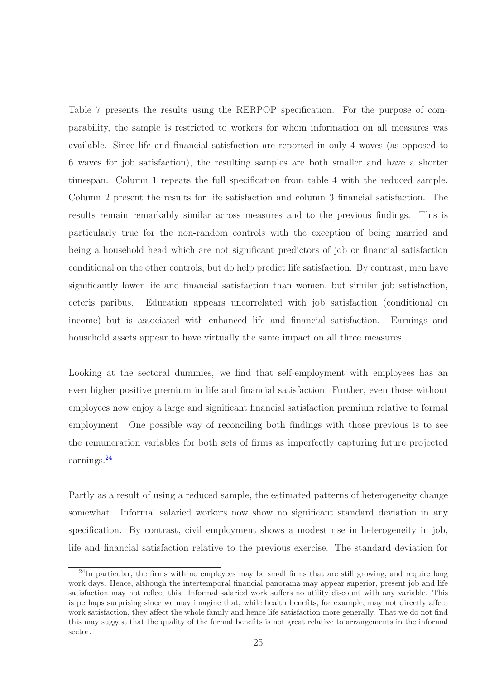Table 7 presents the results using the RERPOP specification. For the purpose of comparability, the sample is restricted to workers for whom information on all measures was available. Since life and financial satisfaction are reported in only 4 waves (as opposed to 6 waves for job satisfaction), the resulting samples are both smaller and have a shorter timespan. Column 1 repeats the full specification from table 4 with the reduced sample. Column 2 present the results for life satisfaction and column 3 financial satisfaction. The results remain remarkably similar across measures and to the previous findings. This is particularly true for the non-random controls with the exception of being married and being a household head which are not significant predictors of job or financial satisfaction conditional on the other controls, but do help predict life satisfaction. By contrast, men have significantly lower life and financial satisfaction than women, but similar job satisfaction, ceteris paribus. Education appears uncorrelated with job satisfaction (conditional on income) but is associated with enhanced life and financial satisfaction. Earnings and household assets appear to have virtually the same impact on all three measures.

Looking at the sectoral dummies, we find that self-employment with employees has an even higher positive premium in life and financial satisfaction. Further, even those without employees now enjoy a large and significant financial satisfaction premium relative to formal employment. One possible way of reconciling both findings with those previous is to see the remuneration variables for both sets of firms as imperfectly capturing future projected earnings.<sup>24</sup>

Partly as a result of using a reduced sample, the estimated patterns of heterogeneity change somewhat. Informal salaried workers now show no significant standard deviation in any specification. By contrast, civil employment shows a modest rise in heterogeneity in job, life and financial satisfaction relative to the previous exercise. The standard deviation for

<sup>&</sup>lt;sup>24</sup>In particular, the firms with no employees may be small firms that are still growing, and require long work days. Hence, although the intertemporal financial panorama may appear superior, present job and life satisfaction may not reflect this. Informal salaried work suffers no utility discount with any variable. This is perhaps surprising since we may imagine that, while health benefits, for example, may not directly affect work satisfaction, they affect the whole family and hence life satisfaction more generally. That we do not find this may suggest that the quality of the formal benefits is not great relative to arrangements in the informal sector.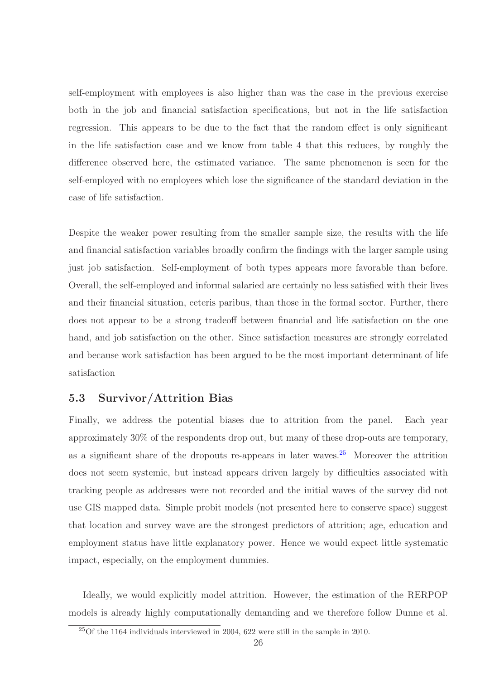self-employment with employees is also higher than was the case in the previous exercise both in the job and financial satisfaction specifications, but not in the life satisfaction regression. This appears to be due to the fact that the random effect is only significant in the life satisfaction case and we know from table 4 that this reduces, by roughly the difference observed here, the estimated variance. The same phenomenon is seen for the self-employed with no employees which lose the significance of the standard deviation in the case of life satisfaction.

Despite the weaker power resulting from the smaller sample size, the results with the life and financial satisfaction variables broadly confirm the findings with the larger sample using just job satisfaction. Self-employment of both types appears more favorable than before. Overall, the self-employed and informal salaried are certainly no less satisfied with their lives and their financial situation, ceteris paribus, than those in the formal sector. Further, there does not appear to be a strong tradeoff between financial and life satisfaction on the one hand, and job satisfaction on the other. Since satisfaction measures are strongly correlated and because work satisfaction has been argued to be the most important determinant of life satisfaction

### 5.3 Survivor/Attrition Bias

Finally, we address the potential biases due to attrition from the panel. Each year approximately 30% of the respondents drop out, but many of these drop-outs are temporary, as a significant share of the dropouts re-appears in later waves.<sup>25</sup> Moreover the attrition does not seem systemic, but instead appears driven largely by difficulties associated with tracking people as addresses were not recorded and the initial waves of the survey did not use GIS mapped data. Simple probit models (not presented here to conserve space) suggest that location and survey wave are the strongest predictors of attrition; age, education and employment status have little explanatory power. Hence we would expect little systematic impact, especially, on the employment dummies.

Ideally, we would explicitly model attrition. However, the estimation of the RERPOP models is already highly computationally demanding and we therefore follow Dunne et al.

<sup>25</sup>Of the 1164 individuals interviewed in 2004, 622 were still in the sample in 2010.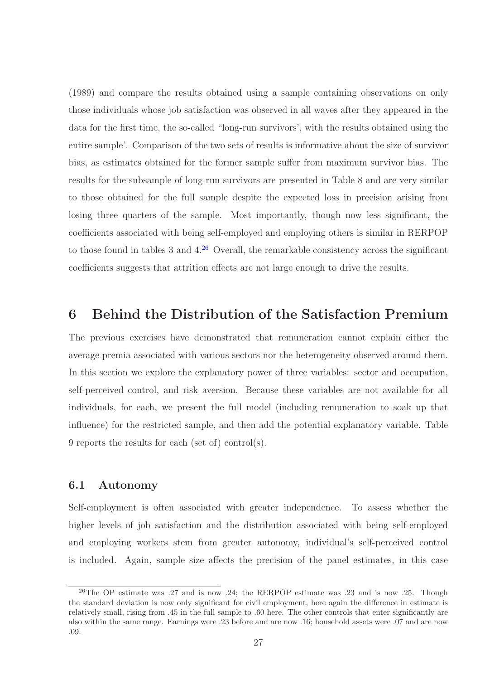(1989) and compare the results obtained using a sample containing observations on only those individuals whose job satisfaction was observed in all waves after they appeared in the data for the first time, the so-called "long-run survivors', with the results obtained using the entire sample'. Comparison of the two sets of results is informative about the size of survivor bias, as estimates obtained for the former sample suffer from maximum survivor bias. The results for the subsample of long-run survivors are presented in Table 8 and are very similar to those obtained for the full sample despite the expected loss in precision arising from losing three quarters of the sample. Most importantly, though now less significant, the coefficients associated with being self-employed and employing others is similar in RERPOP to those found in tables 3 and  $4.^{26}$  Overall, the remarkable consistency across the significant coefficients suggests that attrition effects are not large enough to drive the results.

## 6 Behind the Distribution of the Satisfaction Premium

The previous exercises have demonstrated that remuneration cannot explain either the average premia associated with various sectors nor the heterogeneity observed around them. In this section we explore the explanatory power of three variables: sector and occupation, self-perceived control, and risk aversion. Because these variables are not available for all individuals, for each, we present the full model (including remuneration to soak up that influence) for the restricted sample, and then add the potential explanatory variable. Table 9 reports the results for each (set of) control(s).

#### 6.1 Autonomy

Self-employment is often associated with greater independence. To assess whether the higher levels of job satisfaction and the distribution associated with being self-employed and employing workers stem from greater autonomy, individual's self-perceived control is included. Again, sample size affects the precision of the panel estimates, in this case

<sup>&</sup>lt;sup>26</sup>The OP estimate was .27 and is now .24; the RERPOP estimate was .23 and is now .25. Though the standard deviation is now only significant for civil employment, here again the difference in estimate is relatively small, rising from .45 in the full sample to .60 here. The other controls that enter significantly are also within the same range. Earnings were .23 before and are now .16; household assets were .07 and are now .09.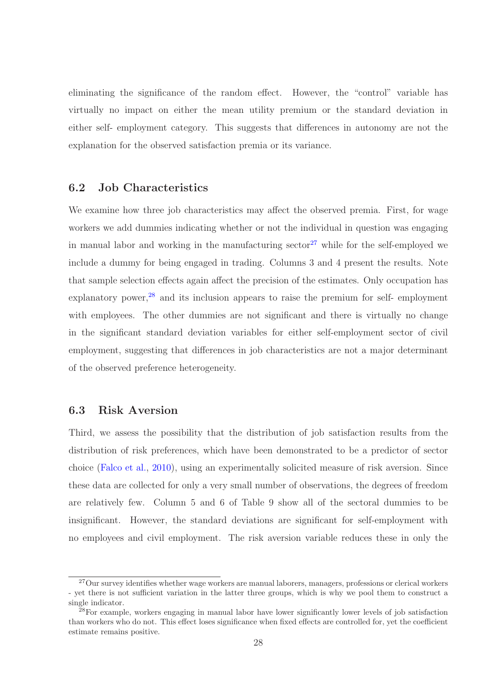eliminating the significance of the random effect. However, the "control" variable has virtually no impact on either the mean utility premium or the standard deviation in either self- employment category. This suggests that differences in autonomy are not the explanation for the observed satisfaction premia or its variance.

#### 6.2 Job Characteristics

We examine how three job characteristics may affect the observed premia. First, for wage workers we add dummies indicating whether or not the individual in question was engaging in manual labor and working in the manufacturing sector<sup>27</sup> while for the self-employed we include a dummy for being engaged in trading. Columns 3 and 4 present the results. Note that sample selection effects again affect the precision of the estimates. Only occupation has explanatory power,<sup>28</sup> and its inclusion appears to raise the premium for self- employment with employees. The other dummies are not significant and there is virtually no change in the significant standard deviation variables for either self-employment sector of civil employment, suggesting that differences in job characteristics are not a major determinant of the observed preference heterogeneity.

#### 6.3 Risk Aversion

Third, we assess the possibility that the distribution of job satisfaction results from the distribution of risk preferences, which have been demonstrated to be a predictor of sector choice [\(Falco et al.](#page-31-3), [2010](#page-31-3)), using an experimentally solicited measure of risk aversion. Since these data are collected for only a very small number of observations, the degrees of freedom are relatively few. Column 5 and 6 of Table 9 show all of the sectoral dummies to be insignificant. However, the standard deviations are significant for self-employment with no employees and civil employment. The risk aversion variable reduces these in only the

<sup>&</sup>lt;sup>27</sup>Our survey identifies whether wage workers are manual laborers, managers, professions or clerical workers - yet there is not sufficient variation in the latter three groups, which is why we pool them to construct a single indicator.

<sup>&</sup>lt;sup>28</sup>For example, workers engaging in manual labor have lower significantly lower levels of job satisfaction than workers who do not. This effect loses significance when fixed effects are controlled for, yet the coefficient estimate remains positive.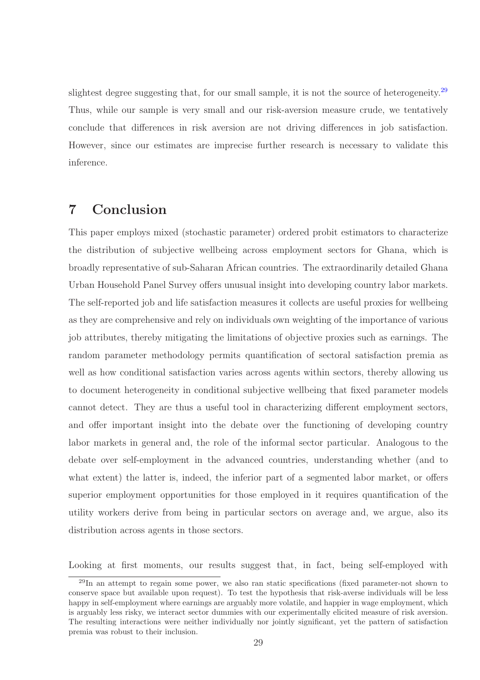slightest degree suggesting that, for our small sample, it is not the source of heterogeneity.<sup>29</sup> Thus, while our sample is very small and our risk-aversion measure crude, we tentatively conclude that differences in risk aversion are not driving differences in job satisfaction. However, since our estimates are imprecise further research is necessary to validate this inference.

## 7 Conclusion

This paper employs mixed (stochastic parameter) ordered probit estimators to characterize the distribution of subjective wellbeing across employment sectors for Ghana, which is broadly representative of sub-Saharan African countries. The extraordinarily detailed Ghana Urban Household Panel Survey offers unusual insight into developing country labor markets. The self-reported job and life satisfaction measures it collects are useful proxies for wellbeing as they are comprehensive and rely on individuals own weighting of the importance of various job attributes, thereby mitigating the limitations of objective proxies such as earnings. The random parameter methodology permits quantification of sectoral satisfaction premia as well as how conditional satisfaction varies across agents within sectors, thereby allowing us to document heterogeneity in conditional subjective wellbeing that fixed parameter models cannot detect. They are thus a useful tool in characterizing different employment sectors, and offer important insight into the debate over the functioning of developing country labor markets in general and, the role of the informal sector particular. Analogous to the debate over self-employment in the advanced countries, understanding whether (and to what extent) the latter is, indeed, the inferior part of a segmented labor market, or offers superior employment opportunities for those employed in it requires quantification of the utility workers derive from being in particular sectors on average and, we argue, also its distribution across agents in those sectors.

Looking at first moments, our results suggest that, in fact, being self-employed with

<sup>&</sup>lt;sup>29</sup>In an attempt to regain some power, we also ran static specifications (fixed parameter-not shown to conserve space but available upon request). To test the hypothesis that risk-averse individuals will be less happy in self-employment where earnings are arguably more volatile, and happier in wage employment, which is arguably less risky, we interact sector dummies with our experimentally elicited measure of risk aversion. The resulting interactions were neither individually nor jointly significant, yet the pattern of satisfaction premia was robust to their inclusion.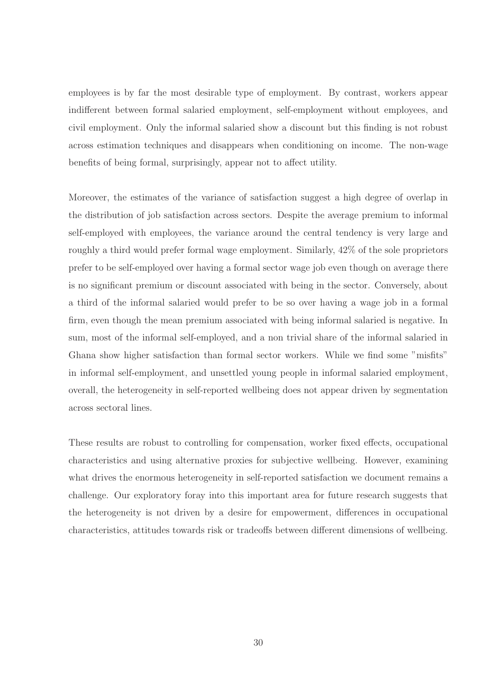employees is by far the most desirable type of employment. By contrast, workers appear indifferent between formal salaried employment, self-employment without employees, and civil employment. Only the informal salaried show a discount but this finding is not robust across estimation techniques and disappears when conditioning on income. The non-wage benefits of being formal, surprisingly, appear not to affect utility.

Moreover, the estimates of the variance of satisfaction suggest a high degree of overlap in the distribution of job satisfaction across sectors. Despite the average premium to informal self-employed with employees, the variance around the central tendency is very large and roughly a third would prefer formal wage employment. Similarly, 42% of the sole proprietors prefer to be self-employed over having a formal sector wage job even though on average there is no significant premium or discount associated with being in the sector. Conversely, about a third of the informal salaried would prefer to be so over having a wage job in a formal firm, even though the mean premium associated with being informal salaried is negative. In sum, most of the informal self-employed, and a non trivial share of the informal salaried in Ghana show higher satisfaction than formal sector workers. While we find some "misfits" in informal self-employment, and unsettled young people in informal salaried employment, overall, the heterogeneity in self-reported wellbeing does not appear driven by segmentation across sectoral lines.

These results are robust to controlling for compensation, worker fixed effects, occupational characteristics and using alternative proxies for subjective wellbeing. However, examining what drives the enormous heterogeneity in self-reported satisfaction we document remains a challenge. Our exploratory foray into this important area for future research suggests that the heterogeneity is not driven by a desire for empowerment, differences in occupational characteristics, attitudes towards risk or tradeoffs between different dimensions of wellbeing.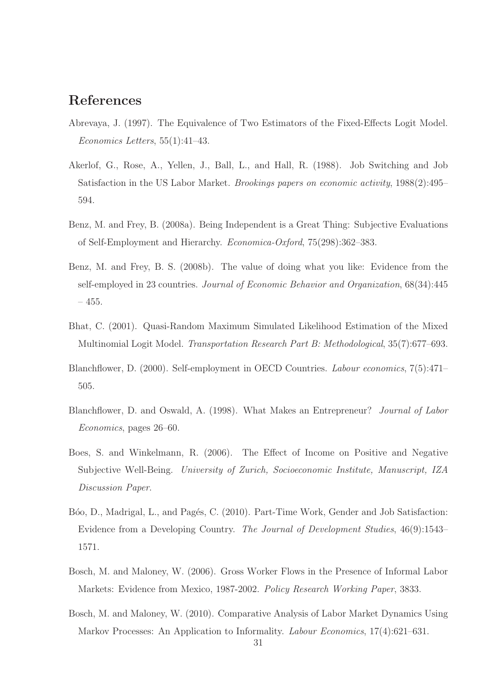## References

- <span id="page-30-8"></span>Abrevaya, J. (1997). The Equivalence of Two Estimators of the Fixed-Effects Logit Model. *Economics Letters*, 55(1):41–43.
- <span id="page-30-0"></span>Akerlof, G., Rose, A., Yellen, J., Ball, L., and Hall, R. (1988). Job Switching and Job Satisfaction in the US Labor Market. *Brookings papers on economic activity*, 1988(2):495– 594.
- <span id="page-30-3"></span>Benz, M. and Frey, B. (2008a). Being Independent is a Great Thing: Subjective Evaluations of Self-Employment and Hierarchy. *Economica-Oxford*, 75(298):362–383.
- <span id="page-30-4"></span>Benz, M. and Frey, B. S. (2008b). The value of doing what you like: Evidence from the self-employed in 23 countries. *Journal of Economic Behavior and Organization*, 68(34):445 – 455.
- <span id="page-30-9"></span>Bhat, C. (2001). Quasi-Random Maximum Simulated Likelihood Estimation of the Mixed Multinomial Logit Model. *Transportation Research Part B: Methodological*, 35(7):677–693.
- <span id="page-30-2"></span>Blanchflower, D. (2000). Self-employment in OECD Countries. *Labour economics*, 7(5):471– 505.
- <span id="page-30-1"></span>Blanchflower, D. and Oswald, A. (1998). What Makes an Entrepreneur? *Journal of Labor Economics*, pages 26–60.
- <span id="page-30-10"></span>Boes, S. and Winkelmann, R. (2006). The Effect of Income on Positive and Negative Subjective Well-Being. *University of Zurich, Socioeconomic Institute, Manuscript, IZA Discussion Paper*.
- <span id="page-30-7"></span>Bóo, D., Madrigal, L., and Pagés, C. (2010). Part-Time Work, Gender and Job Satisfaction: Evidence from a Developing Country. *The Journal of Development Studies*, 46(9):1543– 1571.
- <span id="page-30-5"></span>Bosch, M. and Maloney, W. (2006). Gross Worker Flows in the Presence of Informal Labor Markets: Evidence from Mexico, 1987-2002. *Policy Research Working Paper*, 3833.
- <span id="page-30-6"></span>Bosch, M. and Maloney, W. (2010). Comparative Analysis of Labor Market Dynamics Using Markov Processes: An Application to Informality. *Labour Economics*, 17(4):621–631.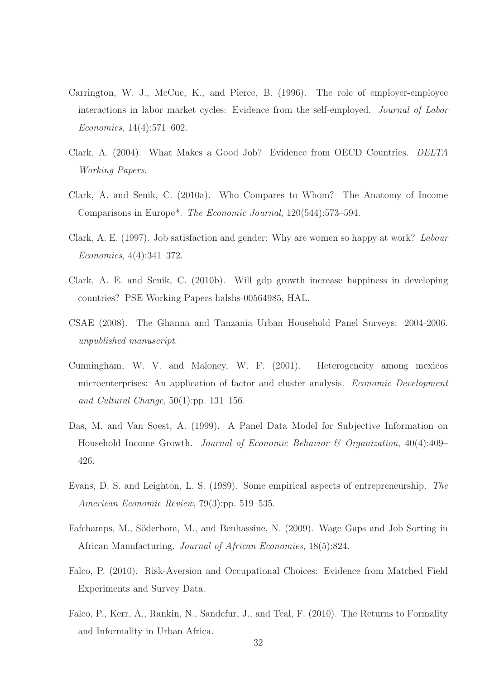- <span id="page-31-10"></span>Carrington, W. J., McCue, K., and Pierce, B. (1996). The role of employer-employee interactions in labor market cycles: Evidence from the self-employed. *Journal of Labor Economics*, 14(4):571–602.
- <span id="page-31-5"></span>Clark, A. (2004). What Makes a Good Job? Evidence from OECD Countries. *DELTA Working Papers*.
- <span id="page-31-0"></span>Clark, A. and Senik, C. (2010a). Who Compares to Whom? The Anatomy of Income Comparisons in Europe\*. *The Economic Journal*, 120(544):573–594.
- <span id="page-31-9"></span>Clark, A. E. (1997). Job satisfaction and gender: Why are women so happy at work? *Labour Economics*, 4(4):341–372.
- <span id="page-31-8"></span>Clark, A. E. and Senik, C. (2010b). Will gdp growth increase happiness in developing countries? PSE Working Papers halshs-00564985, HAL.
- <span id="page-31-6"></span>CSAE (2008). The Ghanna and Tanzania Urban Household Panel Surveys: 2004-2006. *unpublished manuscript*.
- <span id="page-31-4"></span>Cunningham, W. V. and Maloney, W. F. (2001). Heterogeneity among mexicos microenterprises: An application of factor and cluster analysis. *Economic Development and Cultural Change*, 50(1):pp. 131–156.
- <span id="page-31-11"></span>Das, M. and Van Soest, A. (1999). A Panel Data Model for Subjective Information on Household Income Growth. *Journal of Economic Behavior & Organization*, 40(4):409– 426.
- <span id="page-31-1"></span>Evans, D. S. and Leighton, L. S. (1989). Some empirical aspects of entrepreneurship. *The American Economic Review*, 79(3):pp. 519–535.
- <span id="page-31-2"></span>Fafchamps, M., Söderbom, M., and Benhassine, N. (2009). Wage Gaps and Job Sorting in African Manufacturing. *Journal of African Economies*, 18(5):824.
- <span id="page-31-7"></span>Falco, P. (2010). Risk-Aversion and Occupational Choices: Evidence from Matched Field Experiments and Survey Data.
- <span id="page-31-3"></span>Falco, P., Kerr, A., Rankin, N., Sandefur, J., and Teal, F. (2010). The Returns to Formality and Informality in Urban Africa.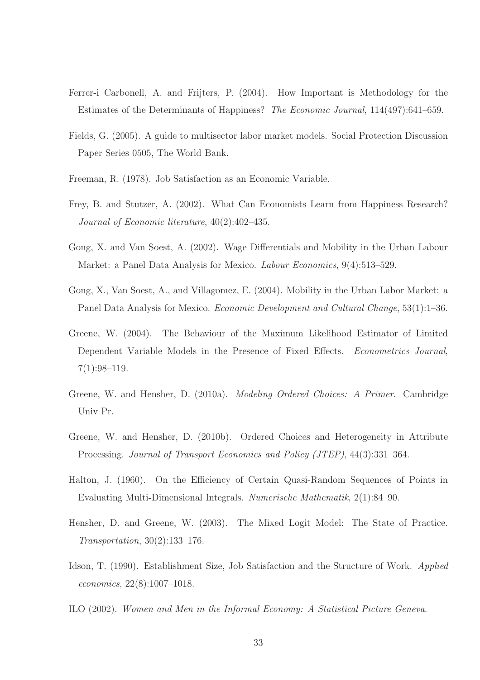- <span id="page-32-7"></span>Ferrer-i Carbonell, A. and Frijters, P. (2004). How Important is Methodology for the Estimates of the Determinants of Happiness? *The Economic Journal*, 114(497):641–659.
- <span id="page-32-5"></span>Fields, G. (2005). A guide to multisector labor market models. Social Protection Discussion Paper Series 0505, The World Bank.
- <span id="page-32-1"></span>Freeman, R. (1978). Job Satisfaction as an Economic Variable.
- <span id="page-32-0"></span>Frey, B. and Stutzer, A. (2002). What Can Economists Learn from Happiness Research? *Journal of Economic literature*, 40(2):402–435.
- <span id="page-32-3"></span>Gong, X. and Van Soest, A. (2002). Wage Differentials and Mobility in the Urban Labour Market: a Panel Data Analysis for Mexico. *Labour Economics*, 9(4):513–529.
- <span id="page-32-4"></span>Gong, X., Van Soest, A., and Villagomez, E. (2004). Mobility in the Urban Labor Market: a Panel Data Analysis for Mexico. *Economic Development and Cultural Change*, 53(1):1–36.
- <span id="page-32-11"></span>Greene, W. (2004). The Behaviour of the Maximum Likelihood Estimator of Limited Dependent Variable Models in the Presence of Fixed Effects. *Econometrics Journal*, 7(1):98–119.
- <span id="page-32-9"></span>Greene, W. and Hensher, D. (2010a). *Modeling Ordered Choices: A Primer*. Cambridge Univ Pr.
- <span id="page-32-8"></span>Greene, W. and Hensher, D. (2010b). Ordered Choices and Heterogeneity in Attribute Processing. *Journal of Transport Economics and Policy (JTEP)*, 44(3):331–364.
- <span id="page-32-12"></span>Halton, J. (1960). On the Efficiency of Certain Quasi-Random Sequences of Points in Evaluating Multi-Dimensional Integrals. *Numerische Mathematik*, 2(1):84–90.
- <span id="page-32-10"></span>Hensher, D. and Greene, W. (2003). The Mixed Logit Model: The State of Practice. *Transportation*, 30(2):133–176.
- <span id="page-32-2"></span>Idson, T. (1990). Establishment Size, Job Satisfaction and the Structure of Work. *Applied economics*, 22(8):1007–1018.
- <span id="page-32-6"></span>ILO (2002). *Women and Men in the Informal Economy: A Statistical Picture Geneva*.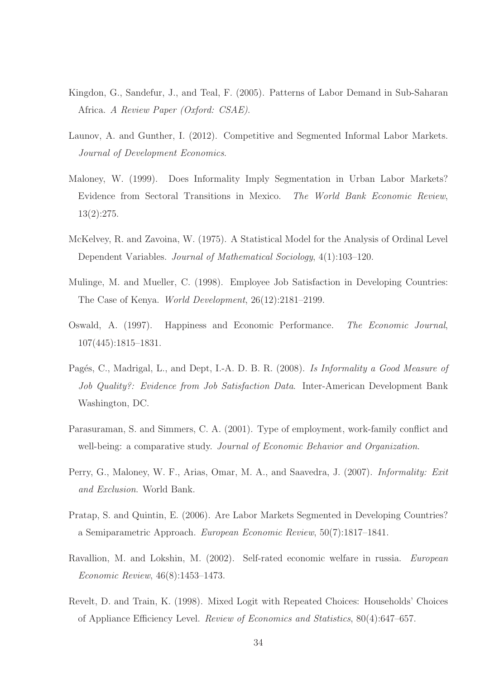- <span id="page-33-3"></span>Kingdon, G., Sandefur, J., and Teal, F. (2005). Patterns of Labor Demand in Sub-Saharan Africa. *A Review Paper (Oxford: CSAE)*.
- <span id="page-33-4"></span>Launov, A. and Gunther, I. (2012). Competitive and Segmented Informal Labor Markets. *Journal of Development Economics*.
- <span id="page-33-2"></span>Maloney, W. (1999). Does Informality Imply Segmentation in Urban Labor Markets? Evidence from Sectoral Transitions in Mexico. *The World Bank Economic Review*, 13(2):275.
- <span id="page-33-9"></span>McKelvey, R. and Zavoina, W. (1975). A Statistical Model for the Analysis of Ordinal Level Dependent Variables. *Journal of Mathematical Sociology*, 4(1):103–120.
- <span id="page-33-5"></span>Mulinge, M. and Mueller, C. (1998). Employee Job Satisfaction in Developing Countries: The Case of Kenya. *World Development*, 26(12):2181–2199.
- <span id="page-33-0"></span>Oswald, A. (1997). Happiness and Economic Performance. *The Economic Journal*, 107(445):1815–1831.
- <span id="page-33-8"></span>Pag´es, C., Madrigal, L., and Dept, I.-A. D. B. R. (2008). *Is Informality a Good Measure of Job Quality?: Evidence from Job Satisfaction Data*. Inter-American Development Bank Washington, DC.
- <span id="page-33-11"></span>Parasuraman, S. and Simmers, C. A. (2001). Type of employment, work-family conflict and well-being: a comparative study. *Journal of Economic Behavior and Organization*.
- <span id="page-33-7"></span>Perry, G., Maloney, W. F., Arias, Omar, M. A., and Saavedra, J. (2007). *Informality: Exit and Exclusion*. World Bank.
- <span id="page-33-6"></span>Pratap, S. and Quintin, E. (2006). Are Labor Markets Segmented in Developing Countries? a Semiparametric Approach. *European Economic Review*, 50(7):1817–1841.
- <span id="page-33-1"></span>Ravallion, M. and Lokshin, M. (2002). Self-rated economic welfare in russia. *European Economic Review*, 46(8):1453–1473.
- <span id="page-33-10"></span>Revelt, D. and Train, K. (1998). Mixed Logit with Repeated Choices: Households' Choices of Appliance Efficiency Level. *Review of Economics and Statistics*, 80(4):647–657.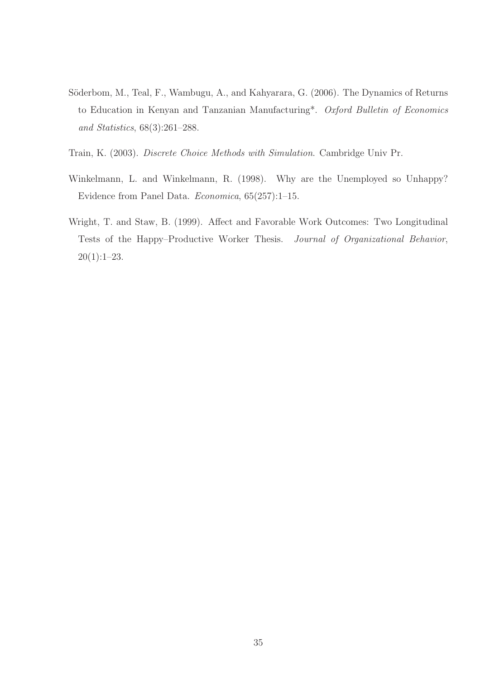- <span id="page-34-1"></span>Söderbom, M., Teal, F., Wambugu, A., and Kahyarara, G. (2006). The Dynamics of Returns to Education in Kenyan and Tanzanian Manufacturing\*. *Oxford Bulletin of Economics and Statistics*, 68(3):261–288.
- <span id="page-34-2"></span>Train, K. (2003). *Discrete Choice Methods with Simulation*. Cambridge Univ Pr.
- <span id="page-34-3"></span>Winkelmann, L. and Winkelmann, R. (1998). Why are the Unemployed so Unhappy? Evidence from Panel Data. *Economica*, 65(257):1–15.
- <span id="page-34-0"></span>Wright, T. and Staw, B. (1999). Affect and Favorable Work Outcomes: Two Longitudinal Tests of the Happy–Productive Worker Thesis. *Journal of Organizational Behavior*, 20(1):1–23.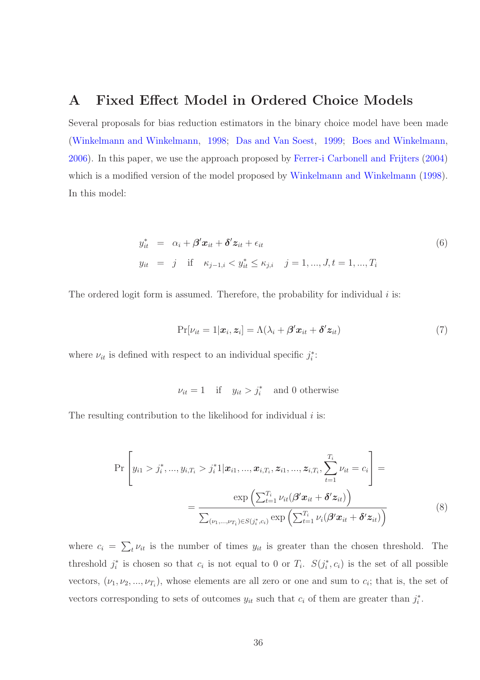## A Fixed Effect Model in Ordered Choice Models

Several proposals for bias reduction estimators in the binary choice model have been made [\(Winkelmann and Winkelmann,](#page-34-3) [1998;](#page-34-3) [Das and Van Soest,](#page-31-11) [1999;](#page-31-11) [Boes and Winkelmann](#page-30-10), [2006](#page-30-10)). In this paper, we use the approach proposed by [Ferrer-i Carbonell and Frijters](#page-32-7) [\(2004\)](#page-32-7) which is a modified version of the model proposed by [Winkelmann and Winkelmann](#page-34-3) [\(1998](#page-34-3)). In this model:

$$
y_{it}^* = \alpha_i + \beta' \mathbf{x}_{it} + \delta' \mathbf{z}_{it} + \epsilon_{it}
$$
  
\n
$$
y_{it} = j \quad \text{if} \quad \kappa_{j-1,i} < y_{it}^* \leq \kappa_{j,i} \quad j = 1, \dots, J, t = 1, \dots, T_i
$$
\n
$$
(6)
$$

The ordered logit form is assumed. Therefore, the probability for individual  $i$  is:

$$
Pr[\nu_{it} = 1 | \mathbf{x}_i, \mathbf{z}_i] = \Lambda(\lambda_i + \beta' \mathbf{x}_{it} + \delta' \mathbf{z}_{it})
$$
\n(7)

where  $\nu_{it}$  is defined with respect to an individual specific  $j_i^*$ :

$$
\nu_{it} = 1 \quad \text{if} \quad y_{it} > j_i^* \quad \text{and } 0 \text{ otherwise}
$$

The resulting contribution to the likelihood for individual  $i$  is:

$$
\Pr\left[y_{i1} > j_i^*, ..., y_{i,T_i} > j_i^*1 | \mathbf{x}_{i1}, ..., \mathbf{x}_{i,T_i}, \mathbf{z}_{i1}, ..., \mathbf{z}_{i,T_i}, \sum_{t=1}^{T_i} \nu_{it} = c_i\right] = \frac{\exp\left(\sum_{t=1}^{T_i} \nu_{it} (\boldsymbol{\beta}' \mathbf{x}_{it} + \boldsymbol{\delta}' \mathbf{z}_{it})\right)}{\sum_{(\nu_1, ..., \nu_{T_i}) \in S(j_i^*, c_i)} \exp\left(\sum_{t=1}^{T_i} \nu_i (\boldsymbol{\beta}' \mathbf{x}_{it} + \boldsymbol{\delta}' \mathbf{z}_{it})\right)}
$$
(8)

where  $c_i = \sum_t \nu_{it}$  is the number of times  $y_{it}$  is greater than the chosen threshold. The threshold  $j_i^*$  is chosen so that  $c_i$  is not equal to 0 or  $T_i$ .  $S(j_i^*, c_i)$  is the set of all possible vectors,  $(\nu_1, \nu_2, ..., \nu_{T_i})$ , whose elements are all zero or one and sum to  $c_i$ ; that is, the set of vectors corresponding to sets of outcomes  $y_{it}$  such that  $c_i$  of them are greater than  $j_i^*$ .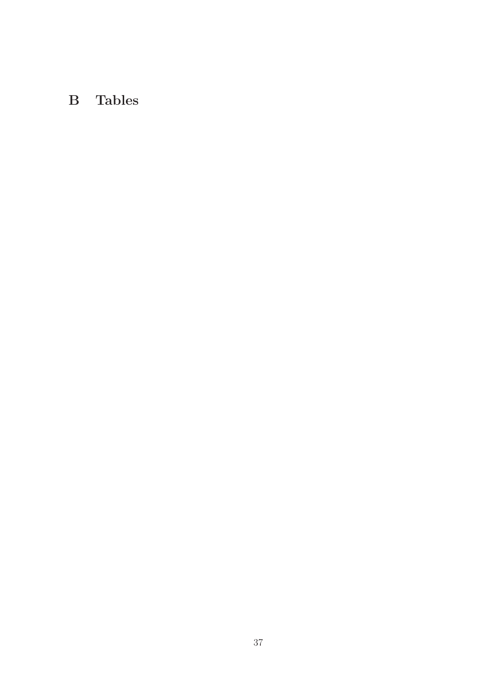# B Tables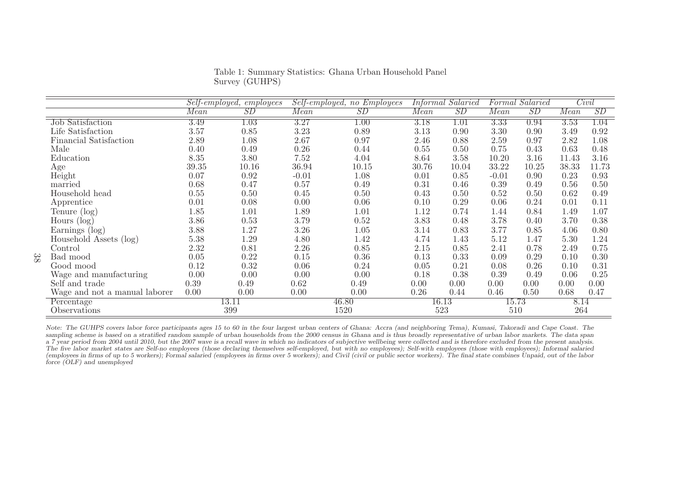|                               |       | Self-employed, employees |         | Self-employed, no Employees |       | Informal Salaried |         | Formal Salaried |       | Civil             |
|-------------------------------|-------|--------------------------|---------|-----------------------------|-------|-------------------|---------|-----------------|-------|-------------------|
|                               | Mean  | SD                       | Mean    | SD                          | Mean  | SD                | Mean    | SD              | Mean  | SD                |
| <b>Job Satisfaction</b>       | 3.49  | 1.03                     | 3.27    | $1.00\,$                    | 3.18  | 1.01              | 3.33    | 0.94            | 3.53  | $\overline{1.04}$ |
| Life Satisfaction             | 3.57  | 0.85                     | 3.23    | 0.89                        | 3.13  | 0.90              | 3.30    | 0.90            | 3.49  | 0.92              |
| Financial Satisfaction        | 2.89  | 1.08                     | 2.67    | 0.97                        | 2.46  | 0.88              | 2.59    | 0.97            | 2.82  | 1.08              |
| Male                          | 0.40  | 0.49                     | 0.26    | 0.44                        | 0.55  | 0.50              | 0.75    | 0.43            | 0.63  | 0.48              |
| Education                     | 8.35  | 3.80                     | 7.52    | 4.04                        | 8.64  | 3.58              | 10.20   | 3.16            | 11.43 | 3.16              |
| Age                           | 39.35 | 10.16                    | 36.94   | 10.15                       | 30.76 | 10.04             | 33.22   | 10.25           | 38.33 | 11.73             |
| Height                        | 0.07  | 0.92                     | $-0.01$ | 1.08                        | 0.01  | 0.85              | $-0.01$ | 0.90            | 0.23  | 0.93              |
| married                       | 0.68  | 0.47                     | 0.57    | 0.49                        | 0.31  | 0.46              | 0.39    | 0.49            | 0.56  | 0.50              |
| Household head                | 0.55  | 0.50                     | 0.45    | 0.50                        | 0.43  | 0.50              | 0.52    | 0.50            | 0.62  | 0.49              |
| Apprentice                    | 0.01  | 0.08                     | 0.00    | 0.06                        | 0.10  | 0.29              | 0.06    | 0.24            | 0.01  | 0.11              |
| Tenure (log)                  | 1.85  | 1.01                     | 1.89    | 1.01                        | 1.12  | 0.74              | 1.44    | 0.84            | 1.49  | 1.07              |
| Hours (log)                   | 3.86  | 0.53                     | 3.79    | 0.52                        | 3.83  | 0.48              | 3.78    | 0.40            | 3.70  | 0.38              |
| Earnings $(\log)$             | 3.88  | 1.27                     | 3.26    | 1.05                        | 3.14  | 0.83              | 3.77    | 0.85            | 4.06  | 0.80              |
| Household Assets (log)        | 5.38  | 1.29                     | 4.80    | 1.42                        | 4.74  | 1.43              | 5.12    | 1.47            | 5.30  | 1.24              |
| Control                       | 2.32  | 0.81                     | 2.26    | 0.85                        | 2.15  | 0.85              | 2.41    | 0.78            | 2.49  | 0.75              |
| Bad mood                      | 0.05  | 0.22                     | 0.15    | 0.36                        | 0.13  | 0.33              | 0.09    | 0.29            | 0.10  | 0.30              |
| Good mood                     | 0.12  | 0.32                     | 0.06    | 0.24                        | 0.05  | 0.21              | 0.08    | 0.26            | 0.10  | 0.31              |
| Wage and manufacturing        | 0.00  | 0.00                     | 0.00    | 0.00                        | 0.18  | 0.38              | 0.39    | 0.49            | 0.06  | 0.25              |
| Self and trade                | 0.39  | 0.49                     | 0.62    | 0.49                        | 0.00  | 0.00              | 0.00    | 0.00            | 0.00  | 0.00              |
| Wage and not a manual laborer | 0.00  | 0.00                     | 0.00    | 0.00                        | 0.26  | 0.44              | 0.46    | 0.50            | 0.68  | 0.47              |
| Percentage                    |       | 13.11                    |         | 46.80                       |       | 16.13             |         | 15.73           | 8.14  |                   |
| Observations                  |       | 399                      |         | 1520                        |       | 523               | 510     |                 | 264   |                   |

Table 1: Summary Statistics: Ghana Urban Household Panel Survey (GUHPS)

Note: The GUHPS covers labor force participants ages 15 to 60 in the four largest urban centers of Ghana: Accra (and neighboring Tema), Kumasi, Takoradi and Cape Coast. The sampling scheme is based on a stratified random sample of urban households from the 2000 census in Ghana and is thus broadly representative of urban labor markets. The data span a 7 year period from 2004 until 2010, but the 2007 wave is a recall wave in which no indicators of subjective wellbeing were collected and is therefore excluded from the present analysis. The five labor market states are Self-no employees (those declaring themselves self-employed, but with no employees); Self-with employees (those with employees); Informal salaried (employees in firms of up to 5 workers); Formal salaried (employees in firms over 5 workers); and Civil (civil or public sector workers). The final state combines Unpaid, out of the labor *force (OLF) and unemployed*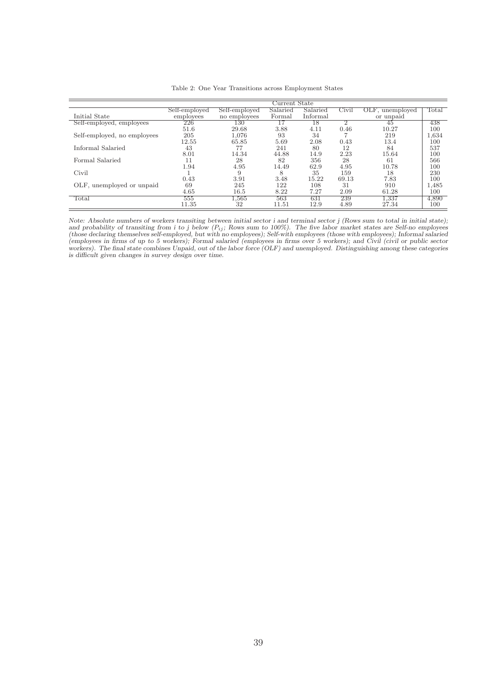|                             |               |               | Current State |          |       |                 |       |
|-----------------------------|---------------|---------------|---------------|----------|-------|-----------------|-------|
|                             | Self-employed | Self-employed | Salaried      | Salaried | Civil | OLF, unemployed | Total |
| Initial State               | employees     | no employees  | Formal        | Informal |       | or unpaid       |       |
| Self-employed, employees    | 226           | 130           |               | 18       |       | 45              | 438   |
|                             | 51.6          | 29.68         | 3.88          | 4.11     | 0.46  | 10.27           | 100   |
| Self-employed, no employees | 205           | 1.076         | 93            | 34       |       | 219             | 1,634 |
|                             | 12.55         | 65.85         | 5.69          | 2.08     | 0.43  | 13.4            | 100   |
| Informal Salaried           | 43            |               | 241           | 80       | 12    | 84              | 537   |
|                             | 8.01          | 14.34         | 44.88         | 14.9     | 2.23  | 15.64           | 100   |
| Formal Salaried             |               | 28            | 82            | 356      | 28    | 61              | 566   |
|                             | 1.94          | 4.95          | 14.49         | 62.9     | 4.95  | 10.78           | 100   |
| Civil                       |               | 9             | 8             | 35       | 159   | 18              | 230   |
|                             | 0.43          | 3.91          | 3.48          | 15.22    | 69.13 | 7.83            | 100   |
| OLF, unemployed or unpaid   | 69            | 245           | 122           | 108      | 31    | 910             | 1,485 |
|                             | 4.65          | 16.5          | 8.22          | 7.27     | 2.09  | 61.28           | 100   |
| Total                       | 555           | .565          | 563           | 631      | 239   | 1.337           | 4,890 |
|                             | 11.35         | 32            | 11.51         | 12.9     | 4.89  | 27.34           | 100   |

Table 2: One Year Transitions across Employment States

*Note: Absolute numbers of workers transiting between initial sector i and terminal sector j (Rows sum to total in initial state);* and probability of transiting from i to j below  $(P_{ij};$  Rows sum to 100%). The five labor market states are Self-no employees (those declaring themselves self-employed, but with no employees); Self-with employees (those wi *(employees in firms of up to 5 workers); Formal salaried (employees in firms over 5 workers); and Civil (civil or public sector workers). The final state combines Unpaid, out of the labor force (OLF) and unemployed. Distinguishing among these categories is difficult given changes in survey design over time.*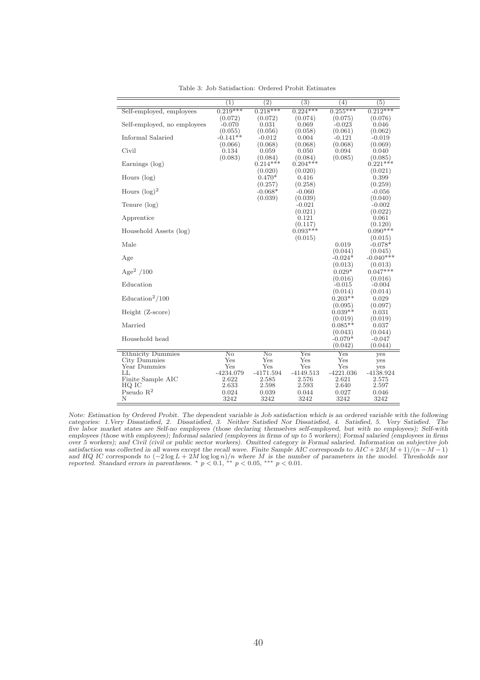|                                          | $\left(1\right)$  | $\left( 2\right)$ | $\overline{(3)}$    | (4)                  | $\overline{(5)}$    |
|------------------------------------------|-------------------|-------------------|---------------------|----------------------|---------------------|
| Self-employed, employees                 | $0.219***$        | $0.218***$        | $0.224***$          | $0.255***$           | $0.212***$          |
|                                          | (0.072)           | (0.072)           | (0.074)             | (0.075)              | (0.076)             |
| Self-employed, no employees              | $-0.070$          | 0.031             | 0.069               | $-0.023$             | 0.046               |
|                                          | (0.055)           | (0.056)           | (0.058)             | (0.061)              | (0.062)             |
| Informal Salaried                        | $-0.141**$        | $-0.012$          | 0.004               | $-0.121$             | $-0.019$            |
|                                          | (0.066)           | (0.068)           | (0.068)             | (0.068)              | (0.069)             |
| Civil                                    | 0.134             | 0.059             | 0.050               | 0.094                | 0.040               |
|                                          | (0.083)           | (0.084)           | (0.084)             | (0.085)              | (0.085)             |
| Earnings (log)                           |                   | $0.214***$        | $0.204***$          |                      | $0.221***$          |
|                                          |                   | (0.020)           | (0.020)             |                      | (0.021)             |
| Hours $(\log)$                           |                   | $0.470*$          | 0.416               |                      | 0.399               |
|                                          |                   | (0.257)           | (0.258)             |                      | (0.259)             |
| Hours $(\log)^2$                         |                   | $-0.068*$         | $-0.060$            |                      | $-0.056$            |
|                                          |                   | (0.039)           | (0.039)             |                      | (0.040)             |
| Tenure (log)                             |                   |                   | $-0.021$<br>(0.021) |                      | $-0.002$            |
| Apprentice                               |                   |                   | 0.121               |                      | (0.022)<br>0.061    |
|                                          |                   |                   | (0.117)             |                      | (0.120)             |
| Household Assets (log)                   |                   |                   | $0.093***$          |                      | $0.090***$          |
|                                          |                   |                   | (0.015)             |                      | (0.015)             |
| Male                                     |                   |                   |                     | 0.019                | $-0.078*$           |
|                                          |                   |                   |                     | (0.044)              | (0.045)             |
| Age                                      |                   |                   |                     | $-0.024*$            | $-0.040**$          |
|                                          |                   |                   |                     | (0.013)              | (0.013)             |
| Age <sup>2</sup> /100                    |                   |                   |                     | $0.029*$             | $0.047***$          |
|                                          |                   |                   |                     | (0.016)              | (0.016)             |
| Education                                |                   |                   |                     | $-0.015$             | $-0.004$            |
|                                          |                   |                   |                     | (0.014)              | (0.014)             |
| $\text{Education}^2/100$                 |                   |                   |                     | $0.203**$            | 0.029               |
|                                          |                   |                   |                     | (0.095)              | (0.097)             |
| Height (Z-score)                         |                   |                   |                     | $0.039**$            | 0.031               |
|                                          |                   |                   |                     | (0.019)              | (0.019)             |
| Married                                  |                   |                   |                     | $0.085**$            | 0.037               |
| Household head                           |                   |                   |                     | (0.043)<br>$-0.079*$ | (0.044)<br>$-0.047$ |
|                                          |                   |                   |                     | (0.042)              | (0.044)             |
|                                          |                   |                   |                     |                      |                     |
| <b>Ethnicity Dummies</b><br>City Dummies | No<br>Yes         | No<br>Yes         | Yes<br>Yes          | $_{\rm Yes}$<br>Yes  | yes                 |
| Year Dummies                             | $_{\mathrm{Yes}}$ | Yes               | Yes                 | Yes                  | yes                 |
| LL                                       | $-4234.079$       | $-4171.594$       | $-4149.513$         | $-4221.036$          | yes<br>$-4138.924$  |
| Finite Sample AIC                        | 2.622             | 2.585             | 2.576               | 2.621                | 2.575               |
| HQ IC                                    | 2.633             | 2.598             | 2.593               | 2.640                | 2.597               |
| Pseudo $R^2$                             | 0.024             | 0.039             | 0.044               | 0.027                | 0.046               |
| Ν                                        | 3242              | 3242              | 3242                | 3242                 | 3242                |

Table 3: Job Satisfaction: Ordered Probit Estimates

*Note: Estimation by Ordered Probit. The dependent variable is Job satisfaction which is an ordered variable with the following categories: 1.Very Dissatisfied, 2. Dissatisfied, 3. Neither Satisfied Nor Dissatisfied, 4. Satisfied, 5. Very Satisfied. The five labor market states are Self-no employees (those declaring themselves self-employed, but with no employees); Self-with employees (those with employees); Informal salaried (employees in firms of up to 5 workers); Formal salaried (employees in firms over 5 workers); and Civil (civil or public sector workers). Omitted category is Formal salaried. Information on subjective job satisfaction was collected in all waves except the recall wave. Finite Sample AIC corresponds to*  $AIC + 2M(M + 1)/(n - M - 1)$ and HQ IC corresponds to  $(-2\log L + 2M \log \log n)/n$  where M is the number of parameters in the model. Thresholds nor reported. Standard errors in parentheses. \*  $p < 0.1$ , \*\*  $p < 0.05$ , \*\*\*  $p < 0.01$ .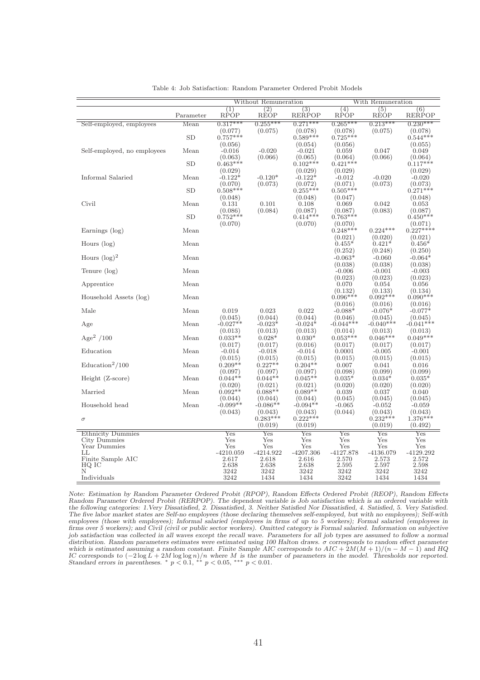|                             |           |                       | Without Remuneration  |                       |                       | With Remuneration     |                       |
|-----------------------------|-----------|-----------------------|-----------------------|-----------------------|-----------------------|-----------------------|-----------------------|
|                             |           | (1)                   | $\left( 2\right)$     | (3)                   | (4)                   | (5)                   | (6)                   |
|                             | Parameter | RPÓP                  | RÉOP                  | <b>RERPOP</b>         | RPÓP                  | RÈÓP                  | <b>RERPOP</b>         |
| Self-employed, employees    | Mean      | $0.317***$            | $0.255***$            | $0.271***$            | $0.265***$            | $0.213***$            | $0.230***$            |
|                             |           | (0.077)               | (0.075)               | (0.078)               | (0.078)               | (0.075)               | (0.078)               |
|                             | <b>SD</b> | $0.757***$            |                       | $0.589***$            | $0.725***$            |                       | $0.544***$            |
|                             |           | (0.056)               |                       | (0.054)               | (0.056)               |                       | (0.055)               |
| Self-employed, no employees | Mean      | $-0.016$              | $-0.020$              | $-0.021$              | 0.059                 | 0.047                 | 0.049                 |
|                             |           | (0.063)               | (0.066)               | (0.065)               | (0.064)               | (0.066)               | (0.064)               |
|                             | <b>SD</b> | $0.463***$            |                       | $0.102**$             | $0.421***$            |                       | $0.117***$            |
|                             |           | (0.029)               |                       | (0.029)               | (0.029)               |                       | (0.029)               |
| Informal Salaried           | Mean      | $-0.122*$             | $-0.120*$             | $-0.122*$             | $-0.012$              | $-0.020$              | $-0.020$              |
|                             | SD        | (0.070)<br>$0.508***$ | (0.073)               | (0.072)<br>$0.255***$ | (0.071)<br>$0.505***$ | (0.073)               | (0.073)<br>$0.271***$ |
|                             |           |                       |                       |                       |                       |                       |                       |
| Civil                       | Mean      | (0.048)<br>0.131      | 0.101                 | (0.048)<br>0.108      | (0.047)<br>0.069      | 0.042                 | (0.048)<br>0.053      |
|                             |           | (0.086)               | (0.084)               | (0.087)               | (0.087)               | (0.083)               | (0.087)               |
|                             | SD        | $0.752***$            |                       | $0.414***$            | $0.763***$            |                       | $0.450***$            |
|                             |           | (0.070)               |                       | (0.070)               | (0.070)               |                       | (0.071)               |
| Earnings (log)              | Mean      |                       |                       |                       | $0.248***$            | $0.224***$            | $0.227***$            |
|                             |           |                       |                       |                       | (0.021)               | (0.020)               | (0.021)               |
| Hours $(\log)$              | Mean      |                       |                       |                       | $0.455*$              | $0.421*$              | $0.456*$              |
|                             |           |                       |                       |                       | (0.252)               | (0.248)               | (0.250)               |
| Hours $(\log)^2$            | Mean      |                       |                       |                       | $-0.063*$             | $-0.060$              | $-0.064*$             |
|                             |           |                       |                       |                       | (0.038)               | (0.038)               | (0.038)               |
| Tenure (log)                | Mean      |                       |                       |                       | $-0.006$              | $-0.001$              | $-0.003$              |
|                             |           |                       |                       |                       | (0.023)               | (0.023)               | (0.023)               |
| Apprentice                  | Mean      |                       |                       |                       | 0.070                 | 0.054                 | 0.056                 |
|                             | Mean      |                       |                       |                       | (0.132)<br>$0.096***$ | (0.133)<br>$0.092***$ | (0.134)<br>$0.090**$  |
| Household Assets (log)      |           |                       |                       |                       | (0.016)               | (0.016)               | (0.016)               |
| Male                        | Mean      | 0.019                 | 0.023                 | 0.022                 | $-0.088*$             | $-0.076*$             | $-0.077*$             |
|                             |           | (0.045)               | (0.044)               | (0.044)               | (0.046)               | (0.045)               | (0.045)               |
| Age                         | Mean      | $-0.027**$            | $-0.023*$             | $-0.024*$             | $-0.044***$           | $-0.040**$            | $-0.041***$           |
|                             |           | (0.013)               | (0.013)               | (0.013)               | (0.014)               | (0.013)               | (0.013)               |
| Age <sup>2</sup> /100       | Mean      | $0.033**$             | $0.028*$              | $0.030*$              | $0.053***$            | $0.046***$            | $0.049***$            |
|                             |           | (0.017)               | (0.017)               | (0.016)               | (0.017)               | (0.017)               | (0.017)               |
| Education                   | Mean      | $-0.014$              | $-0.018$              | $-0.014$              | 0.0001                | $-0.005$              | $-0.001$              |
|                             |           | (0.015)               | (0.015)               | (0.015)               | (0.015)               | (0.015)               | (0.015)               |
| $\text{Education}^2/100$    | Mean      | $0.209**$             | $0.227**$             | $0.204**$             | 0.007                 | 0.041                 | 0.016                 |
|                             |           | (0.097)               | (0.097)               | (0.097)               | (0.098)               | (0.099)               | (0.099)               |
| $Height (Z-score)$          | Mean      | $0.044**$             | $0.044**$             | $0.045**$             | $0.035*$              | $0.034*$              | $0.035*$              |
|                             |           | (0.020)               | (0.021)               | (0.021)               | (0.020)               | (0.020)               | (0.020)               |
| Married                     | Mean      | $0.092**$             | $0.088**$             | $0.089**$             | 0.039                 | 0.037                 | 0.040                 |
| Household head              | Mean      | (0.044)<br>$-0.099**$ | (0.044)               | (0.044)               | (0.045)               | (0.045)               | (0.045)               |
|                             |           | (0.043)               | $-0.086**$<br>(0.043) | $-0.094**$<br>(0.043) | $-0.065$<br>(0.044)   | $-0.052$<br>(0.043)   | $-0.059$<br>(0.043)   |
| $\sigma$                    |           |                       | $0.283***$            | $0.222***$            |                       | $0.232***$            | $1.376***$            |
|                             |           |                       | (0.019)               | (0.019)               |                       | (0.019)               | (0.492)               |
| <b>Ethnicity Dummies</b>    |           | Yes                   | Yes                   | Yes                   | $_{\rm Yes}$          | Yes                   | $_{\rm Yes}$          |
| City Dummies                |           | Yes                   | Yes                   | Yes                   | Yes                   | Yes                   | Yes                   |
| Year Dummies                |           | Yes                   | Yes                   | $_{\rm Yes}$          | Yes                   | Yes                   | $_{\rm Yes}$          |
| LL                          |           | $-4210.059$           | $-4214.922$           | $-4207.306$           | $-4127.878$           | $-4136.079$           | $-4129.292$           |
| Finite Sample AIC           |           | 2.617                 | 2.618                 | 2.616                 | 2.570                 | 2.573                 | 2.572                 |
| HQ IC                       |           | 2.638                 | 2.638                 | 2.638                 | 2.595                 | 2.597                 | 2.598                 |
| Ν                           |           | 3242                  | 3242                  | 3242                  | 3242                  | 3242                  | 3242                  |
| Individuals                 |           | 3242                  | 1434                  | 1434                  | 3242                  | 1434                  | 1434                  |

Table 4: Job Satisfaction: Random Parameter Ordered Probit Models

*Note: Estimation by Random Parameter Ordered Probit (RPOP), Random Effects Ordered Probit (REOP), Random Effects Random Parameter Ordered Probit (RERPOP). The dependent variable is Job satisfaction which is an ordered variable with the following categories: 1.Very Dissatisfied, 2. Dissatisfied, 3. Neither Satisfied Nor Dissatisfied, 4. Satisfied, 5. Very Satisfied. The five labor market states are Self-no employees (those declaring themselves self-employed, but with no employees); Self-with employees (those with employees); Informal salaried (employees in firms of up to 5 workers); Formal salaried (employees in firms over 5 workers); and Civil (civil or public sector workers). Omitted category is Formal salaried. Information on subjective job satisfaction was collected in all waves except the recall wave. Parameters for all job types are assumed to follow a normal distribution. Random parameters estimates were estimated using 100 Halton draws.* σ *corresponds to random effect parameter which is estimated assuming a random constant. Finite Sample AIC corresponds to*  $AIC + 2M(M + 1)/(n - M - 1)$  *and HQ IC corresponds to*  $(-2 \log L + 2M \log \log n)/n$  where *M is the number of parameters in the model. Thresholds nor reported.* Standard errors in parentheses. <sup>∗</sup> p < 0.1, <sup>∗∗</sup> p < 0.05, <sup>∗∗∗</sup> p < 0.01.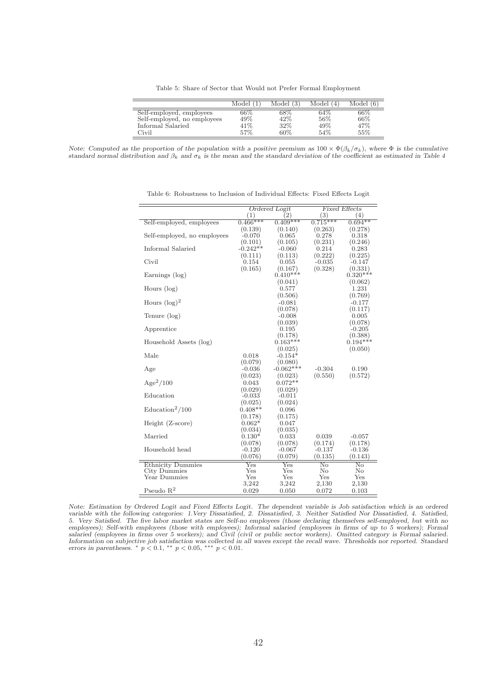Table 5: Share of Sector that Would not Prefer Formal Employment

|                             | Model (1 | Model(3) | Model (4) | Model (6) |
|-----------------------------|----------|----------|-----------|-----------|
| Self-employed, employees    | 66%      | 68\%     | 64%       | 66%       |
| Self-employed, no employees | 49%      | $42\%$   | 56\%      | 66\%      |
| Informal Salaried           | $41\%$   | 32%      | 49%       | 47%       |
| Civil                       | 57%      | 60%      | 54%       | 55%       |

*Note: Computed as the proportion of the population with a positive premium as*  $100 \times \Phi(\beta_k/\sigma_k)$ *, where*  $\Phi$  *is the cumulative standard normal distribution and*  $\beta_k$  *and*  $\sigma_k$  *is the mean and the standard deviation of the coefficient as estimated in Table 4* 

|                             |              | <b>Ordered Logit</b> |                        | <b>Fixed Effects</b>   |
|-----------------------------|--------------|----------------------|------------------------|------------------------|
|                             | (1)          | 2)                   | (3)                    | (4)                    |
| Self-employed, employees    | $0.466***$   | $0.409***$           | $0.715***$             | $0.694**$              |
|                             | (0.139)      | (0.140)              | (0.263)                | (0.278)                |
| Self-employed, no employees | $-0.070$     | 0.065                | 0.278                  | 0.318                  |
|                             | (0.101)      | (0.105)              | (0.231)                | (0.246)                |
| Informal Salaried           | $-0.242**$   | $-0.060$             | 0.214                  | 0.283                  |
|                             | (0.111)      | (0.113)              | (0.222)                | (0.225)                |
| Civil                       | 0.154        | 0.055                | $-0.035$               | -0.147                 |
|                             | (0.165)      | (0.167)              | (0.328)                | (0.331)                |
| Earnings (log)              |              | $0.410***$           |                        | $0.320***$             |
|                             |              | (0.041)              |                        | (0.062)                |
| Hours $(\log)$              |              | 0.577                |                        | 1.231                  |
|                             |              | (0.506)              |                        | (0.769)                |
| Hours $(\log)^2$            |              | $-0.081$             |                        | $-0.177$               |
|                             |              | (0.078)              |                        | (0.117)                |
| Tenure (log)                |              | $-0.008$             |                        | 0.005                  |
|                             |              | (0.039)              |                        | (0.078)                |
| Apprentice                  |              | 0.195                |                        | $-0.205$               |
|                             |              | (0.178)              |                        | (0.388)                |
| Household Assets (log)      |              | $0.163***$           |                        | $0.194***$             |
|                             |              | (0.025)              |                        | (0.050)                |
| Male                        | 0.018        | $-0.154*$            |                        |                        |
|                             | (0.079)      | (0.080)              |                        |                        |
| Age                         | $-0.036$     | $-0.062***$          | $-0.304$               | 0.190                  |
|                             | (0.023)      | (0.023)              | (0.550)                | (0.572)                |
| $Age^2/100$                 | 0.043        | $0.072**$            |                        |                        |
|                             | (0.029)      | (0.029)              |                        |                        |
| Education                   | $-0.033$     | $-0.011$             |                        |                        |
|                             | (0.025)      | (0.024)              |                        |                        |
| $\text{Education}^2/100$    | $0.408**$    | 0.096                |                        |                        |
|                             | (0.178)      | (0.175)              |                        |                        |
| Height (Z-score)            | $0.062*$     | 0.047                |                        |                        |
|                             | (0.034)      | (0.035)              |                        |                        |
| Married                     | $0.130*$     | 0.033                | 0.039                  | $-0.057$               |
|                             | (0.078)      | (0.078)              | (0.174)                | (0.178)                |
| Household head              | $-0.120$     | $-0.067$             | $-0.137$               | $-0.136$               |
|                             | (0.076)      | (0.079)              | (0.135)                | (0.143)                |
| <b>Ethnicity Dummies</b>    | $_{\rm Yes}$ | Yes                  | $\overline{\text{No}}$ | $\overline{\text{No}}$ |
| City Dummies                | Yes          | Yes                  | No                     | No                     |
| Year Dummies                | Yes          | Yes                  | Yes                    | Yes                    |
|                             | 3,242        | 3,242                | 2,130                  | 2,130                  |
| Pseudo $R^2$                | 0.029        | 0.050                | 0.072                  | 0.103                  |
|                             |              |                      |                        |                        |

Table 6: Robustness to Inclusion of Individual Effects: Fixed Effects Logit

*Note: Estimation by Ordered Logit and Fixed Effects Logit. The dependent variable is Job satisfaction which is an ordered variable with the following categories: 1.Very Dissatisfied, 2. Dissatisfied, 3. Neither Satisfied Nor Dissatisfied, 4. Satisfied, 5. Very Satisfied. The five labor market states are Self-no employees (those declaring themselves self-employed, but with no employees); Self-with employees (those with employees); Informal salaried (employees in firms of up to 5 workers); Formal salaried (employees in firms over 5 workers); and Civil (civil or public sector workers). Omitted category is Formal salaried. Information on subjective job satisfaction was collected in all waves except the recall wave. Thresholds nor reported. Standard errors in parentheses.* <sup>∗</sup> p < 0.1, ∗∗ p < 0.05, ∗∗∗ p < 0.01.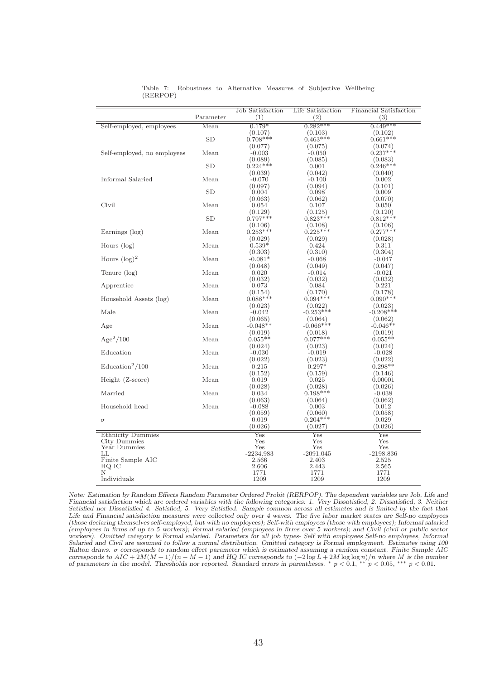|                             |           | <b>Job Satisfaction</b> | Life Satisfaction      | <b>Financial Satisfaction</b> |
|-----------------------------|-----------|-------------------------|------------------------|-------------------------------|
|                             | Parameter | (1)                     | (2)                    | (3)                           |
| Self-employed, employees    | Mean      | $0.179*$                | $0.282***$             | $0.449***$                    |
|                             |           | (0.107)                 | (0.103)                | (0.102)                       |
|                             | <b>SD</b> | $0.708***$              | $0.463***$             | $0.661***$                    |
|                             |           | (0.077)                 | (0.075)                | (0.074)                       |
| Self-employed, no employees | Mean      | $-0.003$                | $-0.050$               | $0.237***$                    |
|                             |           | (0.089)                 | (0.085)                | $(0.083)$<br>$0.246***$       |
|                             | SD        | $0.224***$              | 0.001                  |                               |
| Informal Salaried           | Mean      | (0.039)                 | (0.042)<br>$-0.100$    | (0.040)                       |
|                             |           | $-0.070$<br>(0.097)     | (0.094)                | 0.002<br>(0.101)              |
|                             | <b>SD</b> | 0.004                   | 0.098                  | 0.009                         |
|                             |           | (0.063)                 | (0.062)                | (0.070)                       |
| Civil                       | Mean      | 0.054                   | 0.107                  | 0.050                         |
|                             |           | (0.129)                 | (0.125)                | (0.120)                       |
|                             | <b>SD</b> | $0.797***$              | $0.823***$             | $0.812***$                    |
|                             |           | (0.106)                 | (0.108)                | (0.106)                       |
| Earnings (log)              | Mean      | $0.253***$              | $0.225***$             | $0.277***$                    |
|                             |           | (0.029)                 | (0.029)                | (0.028)                       |
| Hours $(\log)$              | Mean      | $0.539*$                | 0.424                  | 0.311                         |
|                             |           | (0.303)                 | (0.310)                | (0.304)                       |
| Hours $(\log)^2$            | Mean      | $-0.081*$               | $-0.068$               | $-0.047$                      |
|                             |           | (0.048)                 | (0.049)                | (0.047)                       |
| Tenure (log)                | Mean      | 0.020                   | $-0.014$               | $-0.021$                      |
|                             |           | (0.032)                 | (0.032)                | (0.032)                       |
| Apprentice                  | Mean      | 0.073                   | 0.084                  | 0.221                         |
|                             |           | (0.154)<br>$0.088***$   | (0.170)                | (0.178)                       |
| Household Assets (log)      | Mean      |                         | $0.094***$             | $0.090**$                     |
| Male                        | Mean      | (0.023)<br>$-0.042$     | (0.022)<br>$-0.253***$ | (0.023)<br>$-0.208***$        |
|                             |           | (0.065)                 | (0.064)                | (0.062)                       |
| Age                         | Mean      | $-0.048**$              | $-0.066***$            | $-0.046**$                    |
|                             |           | (0.019)                 | (0.018)                | (0.019)                       |
| $Age^2/100$                 | Mean      | $0.055**$               | $0.077***$             | $0.055**$                     |
|                             |           | (0.024)                 | (0.023)                | (0.024)                       |
| Education                   | Mean      | $-0.030$                | $-0.019$               | $-0.028$                      |
|                             |           | (0.022)                 | (0.023)                | (0.022)                       |
| $\text{Education}^2/100$    | Mean      | 0.215                   | $0.297*$               | $0.298**$                     |
|                             |           | (0.152)                 | (0.159)                | (0.146)                       |
| Height (Z-score)            | Mean      | 0.019                   | 0.025                  | 0.00001                       |
|                             |           | (0.028)                 | (0.028)                | (0.026)                       |
| Married                     | Mean      | 0.034                   | $0.198***$             | $-0.038$                      |
|                             |           | (0.063)                 | (0.064)                | (0.062)                       |
| Household head              | Mean      | $-0.088$                | 0.003                  | 0.012                         |
|                             |           | (0.059)                 | (0.060)                | (0.058)                       |
| $\sigma$                    |           | 0.019                   | $0.204***$             | 0.029                         |
|                             |           | (0.026)                 | (0.027)                | (0.026)                       |
| <b>Ethnicity Dummies</b>    |           | Yes                     | $_{\rm Yes}$           | Yes                           |
| City Dummies                |           | Yes                     | $_{\rm Yes}$           | Yes                           |
| Year Dummies                |           | Yes                     | Yes                    | Yes                           |
| LL<br>Finite Sample AIC     |           | $-2234.983$<br>2.566    | $-2091.045$<br>2.403   | $-2198.836$<br>2.525          |
| HQ IC                       |           | 2.606                   | 2.443                  | 2.565                         |
| Ν                           |           | 1771                    | 1771                   | 1771                          |
| Individuals                 |           | 1209                    | 1209                   | 1209                          |

Table 7: Robustness to Alternative Measures of Subjective Wellbeing (RERPOP)

*Note: Estimation by Random Effects Random Parameter Ordered Probit (RERPOP). The dependent variables are Job, Life and Financial satisfaction which are ordered variables with the following categories: 1. Very Dissatisfied, 2. Dissatisfied, 3. Neither Satisfied nor Dissatisfied 4. Satisfied, 5. Very Satisfied. Sample common across all estimates and is limited by the fact that Life and Financial satisfaction measures were collected only over 4 waves. The five labor market states are Self-no employees (those declaring themselves self-employed, but with no employees); Self-with employees (those with employees); Informal salaried (employees in firms of up to 5 workers); Formal salaried (employees in firms over 5 workers); and Civil (civil or public sector workers). Omitted category is Formal salaried. Parameters for all job types- Self with employees Self-no employees, Informal Salaried and Civil are assumed to follow a normal distribution. Omitted category is Formal employment. Estimates using 100 Halton draws.* σ *corresponds to random effect parameter which is estimated assuming a random constant. Finite Sample AIC* corresponds to  $AIC + 2M(M + 1)/(n - M - 1)$  and HQ IC corresponds to  $(-2 \log L + 2M \log \log n)/n$  where M is the number<br>of parameters in the model. Thresholds nor reported. Standard errors in parentheses. \*  $p < 0.1$ , \*\*  $p < 0.05$ , \*\*\*  $p <$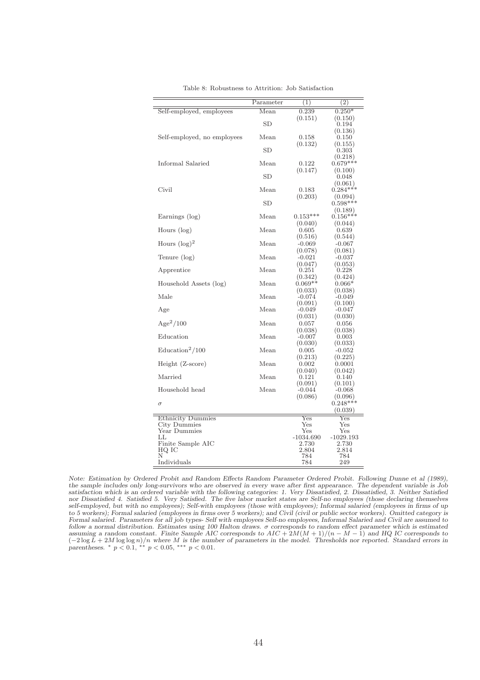| Mean<br>0.239<br>Self-employed, employees<br>$0.250*$<br>(0.151)<br>(0.150)<br>SD<br>0.194<br>(0.136)<br>Mean |  |
|---------------------------------------------------------------------------------------------------------------|--|
|                                                                                                               |  |
|                                                                                                               |  |
|                                                                                                               |  |
|                                                                                                               |  |
| Self-employed, no employees<br>0.158<br>$0.150\,$                                                             |  |
| (0.132)<br>(0.155)                                                                                            |  |
| SD<br>0.303                                                                                                   |  |
| (0.218)                                                                                                       |  |
| Informal Salaried<br>Mean<br>$0.679***$<br>0.122                                                              |  |
| (0.147)<br>(0.100)                                                                                            |  |
| SD<br>0.048                                                                                                   |  |
| (0.061)                                                                                                       |  |
| $0.284***$<br>Civil<br>Mean<br>0.183                                                                          |  |
| (0.203)<br>(0.094)                                                                                            |  |
| $0.598***$<br>SD                                                                                              |  |
| (0.189)                                                                                                       |  |
| $0.156***$<br>Mean<br>$0.153***$<br>Earnings (log)                                                            |  |
| (0.040)<br>(0.044)                                                                                            |  |
| Mean<br>Hours $(\log)$<br>0.639<br>0.605                                                                      |  |
| (0.516)<br>(0.544)                                                                                            |  |
| Hours $(\log)^2$<br>Mean<br>$-0.067$<br>$-0.069$                                                              |  |
| (0.081)<br>(0.078)                                                                                            |  |
| Mean<br>Tenure (log)<br>$-0.021$<br>$-0.037$                                                                  |  |
| (0.047)<br>(0.053)                                                                                            |  |
| Mean<br>Apprentice<br>$_{0.251}$<br>0.228                                                                     |  |
| (0.342)<br>(0.424)                                                                                            |  |
| Household Assets (log)<br>Mean<br>$0.069**$<br>$0.066*$                                                       |  |
| (0.033)<br>(0.038)<br>Mean<br>Male<br>$-0.074$<br>$-0.049$                                                    |  |
| (0.100)<br>(0.091)                                                                                            |  |
| Mean<br>$-0.049$<br>$-0.047$<br>Age                                                                           |  |
| (0.031)<br>(0.030)                                                                                            |  |
| $Age^2/100$<br>Mean<br>0.057<br>0.056                                                                         |  |
| (0.038)<br>(0.038)                                                                                            |  |
| Mean<br>Education<br>$-0.007$<br>0.003                                                                        |  |
| (0.030)<br>(0.033)                                                                                            |  |
| $\text{Education}^2/100$<br>Mean<br>0.005<br>$-0.052$                                                         |  |
| (0.213)<br>(0.225)                                                                                            |  |
| Mean<br>Height (Z-score)<br>0.002<br>0.0001                                                                   |  |
| (0.040)<br>(0.042)                                                                                            |  |
| Married<br>Mean<br>$_{0.121}$<br>0.140                                                                        |  |
| (0.091)<br>(0.101)                                                                                            |  |
| Household head<br>Mean<br>$-0.044$<br>$-0.068$                                                                |  |
| (0.086)<br>(0.096)                                                                                            |  |
| $0.248***$<br>$\sigma$                                                                                        |  |
| (0.039)                                                                                                       |  |
| $_{\rm Yes}$<br><b>Ethnicity Dummies</b><br>$_{\rm Yes}$                                                      |  |
| City Dummies<br>Yes<br>Yes                                                                                    |  |
| Year Dummies<br>Yes<br>Yes                                                                                    |  |
| $-1029.193$<br>-1034.690<br>LL.                                                                               |  |
| Finite Sample AIC<br>2.730<br>2.730                                                                           |  |
| 2.804<br>2.814<br>HQ IC                                                                                       |  |
| N<br>784<br>784<br>249                                                                                        |  |
| Individuals<br>784                                                                                            |  |

Table 8: Robustness to Attrition: Job Satisfaction

*Note: Estimation by Ordered Probit and Random Effects Random Parameter Ordered Probit. Following Dunne et al (1989), the sample includes only long-survivors who are observed in every wave after first appearance. The dependent variable is Job satisfaction which is an ordered variable with the following categories: 1. Very Dissatisfied, 2. Dissatisfied, 3. Neither Satisfied nor Dissatisfied 4. Satisfied 5. Very Satisfied. The five labor market states are Self-no employees (those declaring themselves self-employed, but with no employees); Self-with employees (those with employees); Informal salaried (employees in firms of up to 5 workers); Formal salaried (employees in firms over 5 workers); and Civil (civil or public sector workers). Omitted category is Formal salaried. Parameters for all job types- Self with employees Self-no employees, Informal Salaried and Civil are assumed to follow a normal distribution. Estimates using 100 Halton draws.* σ *corresponds to random effect parameter which is estimated assuming a random constant. Finite Sample AIC corresponds to* AIC + 2M(M + 1)/(n − M − 1) *and HQ IC corresponds to* (−2 log L + 2M log log n)/n *where* M *is the number of parameters in the model. Thresholds nor reported. Standard errors in parentheses.* <sup>∗</sup> p < 0.1, ∗∗ p < 0.05, ∗∗∗ p < 0.01.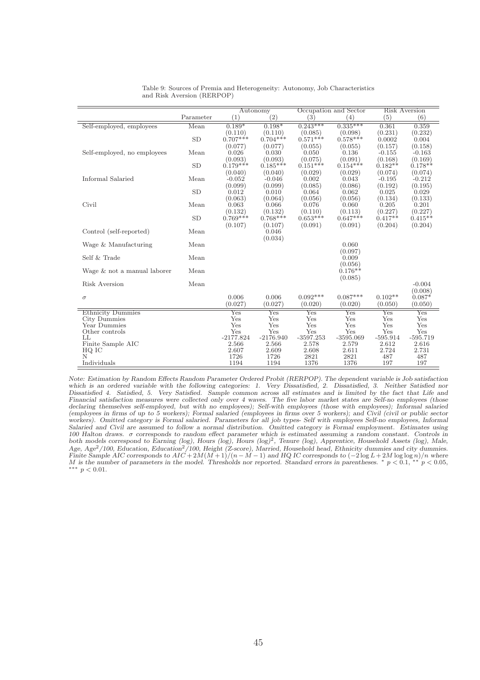|                             |           |                       | Autonomy              |                       | Occupation and Sector |                      | <b>Risk Aversion</b> |
|-----------------------------|-----------|-----------------------|-----------------------|-----------------------|-----------------------|----------------------|----------------------|
|                             | Parameter | (1)                   | (2)                   | (3)                   | (4)                   | (5)                  | (6)                  |
| Self-employed, employees    | Mean      | $0.189*$              | $0.198*$              | $0.243***$            | $0.335***$            | 0.361                | 0.359                |
|                             |           | (0.110)               | (0.110)               | (0.085)               | (0.098)               | (0.231)              | (0.232)              |
|                             | <b>SD</b> | $0.707***$            | $0.704***$            | $0.571***$            | $0.578***$            | 0.0002               | 0.004                |
|                             |           | (0.077)               | (0.077)               | (0.055)               | (0.055)               | (0.157)              | (0.158)              |
| Self-employed, no employees | Mean      | 0.026                 | 0.030                 | 0.050                 | 0.136                 | $-0.155$             | $-0.163$             |
|                             |           | (0.093)               | (0.093)               | (0.075)               | (0.091)               | (0.168)              | (0.169)              |
|                             | <b>SD</b> | $0.179***$            | $0.185***$            | $0.151***$            | $0.154***$            | $0.182**$            | $0.178**$            |
|                             |           | (0.040)               | (0.040)               | (0.029)               | (0.029)               | (0.074)              | (0.074)              |
| Informal Salaried           | Mean      | $-0.052$              | $-0.046$              | 0.002                 | 0.043                 | $-0.195$             | $-0.212$             |
|                             |           | (0.099)               | (0.099)               | (0.085)               | (0.086)               | (0.192)              | (0.195)              |
|                             | <b>SD</b> | 0.012                 | 0.010                 | 0.064                 | 0.062                 | 0.025                | 0.029                |
|                             |           | (0.063)               | (0.064)               | (0.056)               | (0.056)               | (0.134)              | (0.133)              |
| Civil                       | Mean      | 0.063                 | 0.066                 | 0.076                 | 0.060                 | 0.205                | 0.201                |
|                             | <b>SD</b> | (0.132)<br>$0.769***$ | (0.132)<br>$0.768***$ | (0.110)<br>$0.653***$ | (0.113)<br>$0.647***$ | (0.227)<br>$0.417**$ | (0.227)<br>$0.415**$ |
|                             |           | (0.107)               | (0.107)               | (0.091)               | (0.091)               | (0.204)              | (0.204)              |
| Control (self-reported)     | Mean      |                       | 0.046                 |                       |                       |                      |                      |
|                             |           |                       | (0.034)               |                       |                       |                      |                      |
| Wage & Manufacturing        | Mean      |                       |                       |                       | 0.060                 |                      |                      |
|                             |           |                       |                       |                       | (0.097)               |                      |                      |
| Self & Trade                | Mean      |                       |                       |                       | 0.009                 |                      |                      |
|                             |           |                       |                       |                       | (0.056)               |                      |                      |
| Wage & not a manual laborer | Mean      |                       |                       |                       | $0.176**$             |                      |                      |
|                             |           |                       |                       |                       | (0.085)               |                      |                      |
| Risk Aversion               | Mean      |                       |                       |                       |                       |                      | $-0.004$             |
|                             |           |                       |                       |                       |                       |                      | (0.008)              |
| $\sigma$                    |           | 0.006                 | 0.006                 | $0.092***$            | $0.087***$            | $0.102**$            | $0.087*$             |
|                             |           | (0.027)               | (0.027)               | (0.020)               | (0.020)               | (0.050)              | (0.050)              |
| <b>Ethnicity Dummies</b>    |           | Yes                   | $_{\rm Yes}$          | Yes                   | Yes                   | Yes                  | $_{\rm Yes}$         |
| City Dummies                |           | Yes                   | Yes                   | Yes                   | Yes                   | Yes                  | Yes                  |
| Year Dummies                |           | Yes                   | Yes                   | Yes                   | Yes                   | Yes                  | Yes                  |
| Other controls<br>LL        |           | Yes                   | Yes                   | Yes                   | Yes                   | Yes                  | Yes                  |
| Finite Sample AIC           |           | $-2177.824$<br>2.566  | $-2176.940$<br>2.566  | $-3597.253$<br>2.578  | $-3595.069$<br>2.579  | $-595.914$<br>2.612  | $-595.719$<br>2.616  |
| HQ IC                       |           | 2.607                 | 2.609                 | 2.608                 | 2.611                 | 2.724                | 2.731                |
| N                           |           | 1726                  | 1726                  | 2821                  | 2821                  | 487                  | 487                  |
| Individuals                 |           | 1194                  | 1194                  | 1376                  | 1376                  | 197                  | 197                  |

|  |                            | Table 9: Sources of Premia and Heterogeneity: Autonomy, Job Characteristics |  |  |
|--|----------------------------|-----------------------------------------------------------------------------|--|--|
|  | and Risk Aversion (RERPOP) |                                                                             |  |  |

*Note: Estimation by Random Effects Random Parameter Ordered Probit (RERPOP). The dependent variable is Job satisfaction which is an ordered variable with the following categories: 1. Very Dissatisfied, 2. Dissatisfied, 3. Neither Satisfied nor Dissatisfied 4. Satisfied, 5. Very Satisfied. Sample common across all estimates and is limited by the fact that Life and Financial satisfaction measures were collected only over 4 waves. The five labor market states are Self-no employees (those declaring themselves self-employed, but with no employees); Self-with employees (those with employees); Informal salaried (employees in firms of up to 5 workers); Formal salaried (employees in firms over 5 workers); and Civil (civil or public sector workers). Omitted category is Formal salaried. Parameters for all job types- Self with employees Self-no employees, Informal Salaried and Civil are assumed to follow a normal distribution. Omitted category is Formal employment. Estimates using 100 Halton draws.* σ *corresponds to random effect parameter which is estimated assuming a random constant. Controls in* both models correspond to Earning (log), Hours (log), Hours (log)<sup>2</sup>, Tenure (log), Apprentice, Household Assets (log), Male, *Age, Age*2*/100, Education, Education*2*/100, Height (Z-score), Married, Household head, Ethnicity dummies and city dummies. Finite Sample AIC corresponds to*  $AIC + 2M(M+1)/(n-M-1)$  *and HQ IC corresponds to*  $(-2 \log L + 2M \log \log n)/n$  *where* M is the number of parameters in the model. Thresholds nor reported. Standard errors in parentheses. \*  $p < 0.1$ , \*\*  $p < 0.05$ , \*\*\*  $p$  < 0.01.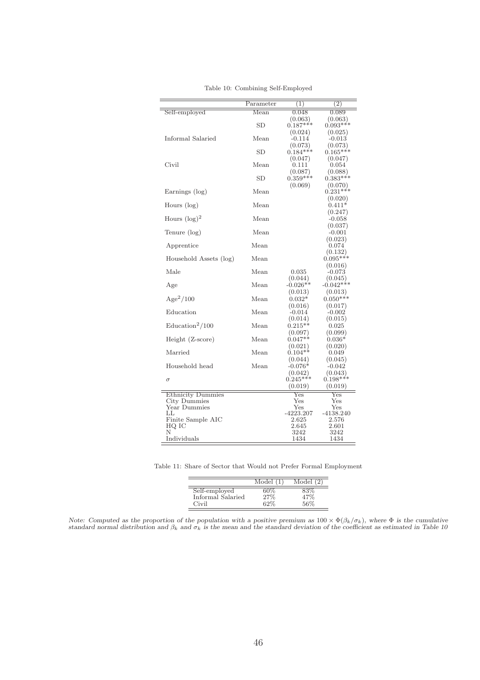|                          | Parameter | (1)                | $\overline{(2)}$      |
|--------------------------|-----------|--------------------|-----------------------|
| Self-employed            | Mean      | 0.048              | 0.089                 |
|                          |           | (0.063)            | (0.063)               |
|                          | SD        | $0.187***$         | $0.093***$            |
|                          |           | (0.024)            | (0.025)               |
| Informal Salaried        | Mean      | $-0.114$           | $-0.013$              |
|                          |           | (0.073)            | (0.073)               |
|                          | <b>SD</b> | $0.184***$         | $0.165***$            |
|                          |           | (0.047)            | (0.047)               |
| Civil                    | Mean      | 0.111              | 0.054                 |
|                          |           | (0.087)            | (0.088)               |
|                          | <b>SD</b> | $0.359***$         | $0.383***$            |
|                          |           | (0.069)            | (0.070)               |
| Earnings (log)           | Mean      |                    | $0.231***$            |
|                          |           |                    | (0.020)               |
| Hours (log)              | Mean      |                    | $0.411*$              |
|                          |           |                    | (0.247)               |
| Hours $(\log)^2$         | Mean      |                    | -0.058                |
|                          |           |                    | (0.037)               |
| Tenure (log)             | Mean      |                    | $-0.001$              |
|                          | Mean      |                    | (0.023)               |
| Apprentice               |           |                    | 0.074                 |
| Household Assets (log)   | Mean      |                    | (0.132)<br>$0.095***$ |
|                          |           |                    | (0.016)               |
| Male                     | Mean      | 0.035              | -0.073                |
|                          |           | (0.044)            | (0.045)               |
| Age                      | Mean      | $-0.026**$         | $-0.042***$           |
|                          |           | (0.013)            | (0.013)               |
| $Age^2/100$              | Mean      | $0.032*$           | $0.050***$            |
|                          |           | (0.016)            | (0.017)               |
| Education                | Mean      | $-0.014$           | $-0.002$              |
|                          |           | (0.014)            | (0.015)               |
| $\text{Education}^2/100$ | Mean      | $0.215**$          | 0.025                 |
|                          |           | (0.097)            | (0.099)               |
| Height (Z-score)         | Mean      | $0.047**$          | $0.036*$              |
|                          |           | (0.021)            | (0.020)               |
| Married                  | Mean      | $0.104**$          | $_{0.049}$            |
|                          |           | (0.044)            | (0.045)               |
| Household head           | Mean      | $-0.076*$          | -0.042                |
|                          |           | (0.042)            | (0.043)               |
| $\sigma$                 |           | $0.245***$         | $0.198***$            |
|                          |           | (0.019)            | (0.019)               |
| <b>Ethnicity Dummies</b> |           | Yes                | Yes                   |
| City Dummies             |           | Yes                | Yes                   |
| Year Dummies             |           | $_{\rm Yes}$       | Yes                   |
| LL.<br>Finite Sample AIC |           | -4223.207<br>2.625 | -4138.240<br>2.576    |
| HQ IC                    |           | 2.645              | $2.601\,$             |
| Ν                        |           | 3242               | 3242                  |
| Individuals              |           | 1434               | 1434                  |
|                          |           |                    |                       |

Table 10: Combining Self-Employed

Table 11: Share of Sector that Would not Prefer Formal Employment

|                                             | Model      | Model |
|---------------------------------------------|------------|-------|
| Self-employed<br>Informal Salaried<br>Civil | 27%<br>62% | 5607  |

*Note: Computed as the proportion of the population with a positive premium as*  $100 \times \Phi(\beta_k/\sigma_k)$ *, where*  $\Phi$  *is the cumulative standard normal distribution and*  $\beta_k$  *and*  $\sigma_k$  *is the mean and the standard deviation of the coefficient as estimated in Table 10*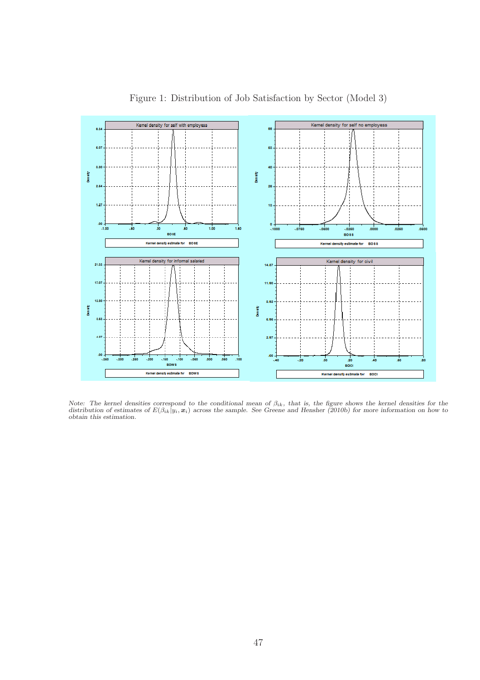

Figure 1: Distribution of Job Satisfaction by Sector (Model 3)

Note: The kernel densities correspond to the conditional mean of  $\beta_{ik}$ , that is, the figure shows the kernel densities for the distribution of estimates of  $E(\beta_{ik}|y_i, x_i)$  across the sample. See Greene and Hensher (2010b *obtain this estimation.*